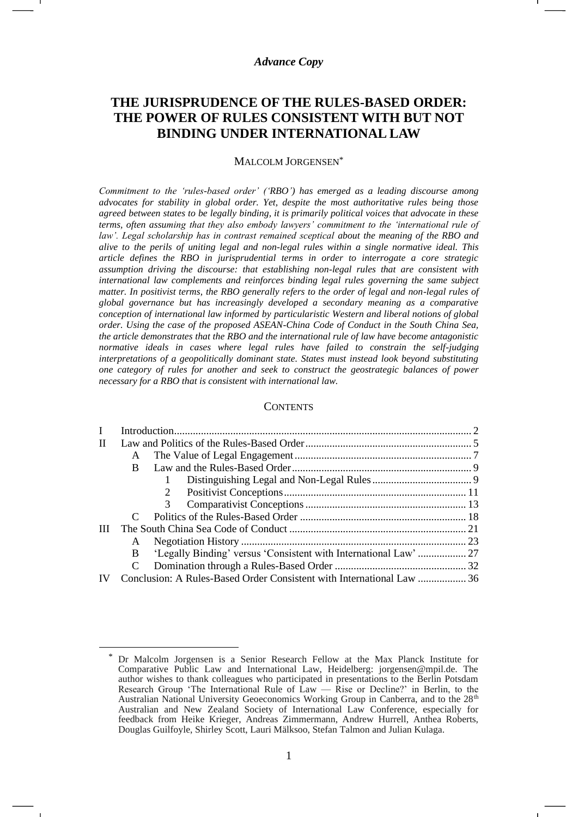## *Advance Copy*

# **THE JURISPRUDENCE OF THE RULES-BASED ORDER: THE POWER OF RULES CONSISTENT WITH BUT NOT BINDING UNDER INTERNATIONAL LAW**

#### MALCOLM JORGENSEN\*

*Commitment to the 'rules-based order' ('RBO') has emerged as a leading discourse among advocates for stability in global order. Yet, despite the most authoritative rules being those agreed between states to be legally binding, it is primarily political voices that advocate in these terms, often assuming that they also embody lawyers' commitment to the 'international rule of law'. Legal scholarship has in contrast remained sceptical about the meaning of the RBO and alive to the perils of uniting legal and non-legal rules within a single normative ideal. This article defines the RBO in jurisprudential terms in order to interrogate a core strategic assumption driving the discourse: that establishing non-legal rules that are consistent with international law complements and reinforces binding legal rules governing the same subject matter. In positivist terms, the RBO generally refers to the order of legal and non-legal rules of global governance but has increasingly developed a secondary meaning as a comparative conception of international law informed by particularistic Western and liberal notions of global order. Using the case of the proposed ASEAN-China Code of Conduct in the South China Sea, the article demonstrates that the RBO and the international rule of law have become antagonistic normative ideals in cases where legal rules have failed to constrain the self-judging interpretations of a geopolitically dominant state. States must instead look beyond substituting one category of rules for another and seek to construct the geostrategic balances of power necessary for a RBO that is consistent with international law.*

#### **CONTENTS**

| L |   |                                                                       |  |
|---|---|-----------------------------------------------------------------------|--|
| П |   |                                                                       |  |
|   | A |                                                                       |  |
|   | B |                                                                       |  |
|   |   |                                                                       |  |
|   |   |                                                                       |  |
|   |   | 3                                                                     |  |
|   |   |                                                                       |  |
| Ш |   |                                                                       |  |
|   | A |                                                                       |  |
|   | B | 'Legally Binding' versus 'Consistent with International Law'  27      |  |
|   |   |                                                                       |  |
|   |   | Conclusion: A Rules-Based Order Consistent with International Law  36 |  |
|   |   |                                                                       |  |

Dr Malcolm Jorgensen is a Senior Research Fellow at the Max Planck Institute for Comparative Public Law and International Law, Heidelberg: jorgensen@mpil.de. The author wishes to thank colleagues who participated in presentations to the Berlin Potsdam Research Group 'The International Rule of  $\text{Law} - \text{Rise}$  or Decline?' in Berlin, to the Australian National University Geoeconomics Working Group in Canberra, and to the 28<sup>th</sup> Australian and New Zealand Society of International Law Conference, especially for feedback from Heike Krieger, Andreas Zimmermann, Andrew Hurrell, Anthea Roberts, Douglas Guilfoyle, Shirley Scott, Lauri Mälksoo, Stefan Talmon and Julian Kulaga.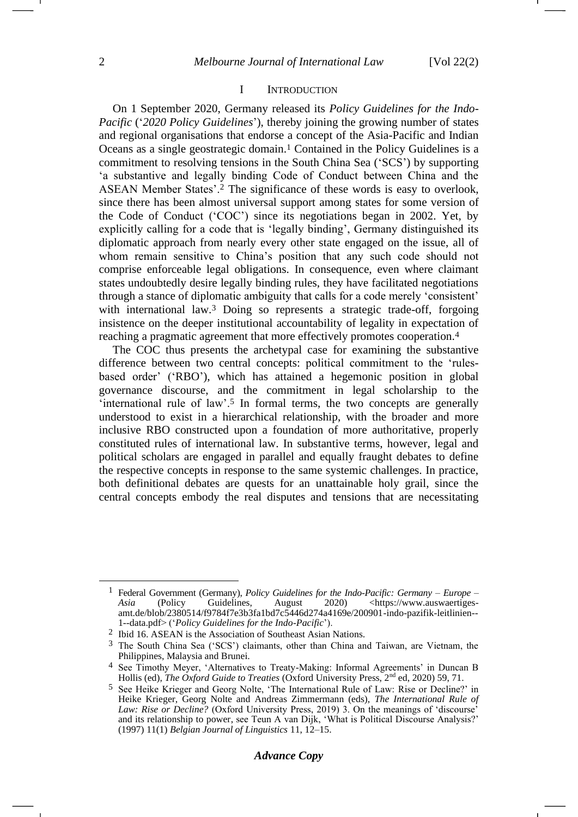#### <span id="page-1-2"></span><span id="page-1-0"></span>I INTRODUCTION

On 1 September 2020, Germany released its *Policy Guidelines for the Indo-Pacific* ('*2020 Policy Guidelines*'), thereby joining the growing number of states and regional organisations that endorse a concept of the Asia-Pacific and Indian Oceans as a single geostrategic domain.<sup>1</sup> Contained in the Policy Guidelines is a commitment to resolving tensions in the South China Sea ('SCS') by supporting 'a substantive and legally binding Code of Conduct between China and the ASEAN Member States'.<sup>2</sup> The significance of these words is easy to overlook, since there has been almost universal support among states for some version of the Code of Conduct ('COC') since its negotiations began in 2002. Yet, by explicitly calling for a code that is 'legally binding', Germany distinguished its diplomatic approach from nearly every other state engaged on the issue, all of whom remain sensitive to China's position that any such code should not comprise enforceable legal obligations. In consequence, even where claimant states undoubtedly desire legally binding rules, they have facilitated negotiations through a stance of diplomatic ambiguity that calls for a code merely 'consistent' with international law.<sup>3</sup> Doing so represents a strategic trade-off, forgoing insistence on the deeper institutional accountability of legality in expectation of reaching a pragmatic agreement that more effectively promotes cooperation.<sup>4</sup>

<span id="page-1-1"></span>The COC thus presents the archetypal case for examining the substantive difference between two central concepts: political commitment to the 'rulesbased order' ('RBO'), which has attained a hegemonic position in global governance discourse, and the commitment in legal scholarship to the 'international rule of law'.<sup>5</sup> In formal terms, the two concepts are generally understood to exist in a hierarchical relationship, with the broader and more inclusive RBO constructed upon a foundation of more authoritative, properly constituted rules of international law. In substantive terms, however, legal and political scholars are engaged in parallel and equally fraught debates to define the respective concepts in response to the same systemic challenges. In practice, both definitional debates are quests for an unattainable holy grail, since the central concepts embody the real disputes and tensions that are necessitating

<sup>1</sup> Federal Government (Germany), *Policy Guidelines for the Indo-Pacific: Germany – Europe –* Asia (Policy Guidelines, August 2020) [<https://www.auswaertiges](https://www.auswaertiges-amt.de/blob/2380514/f9784f7e3b3fa1bd7c5446d274a4169e/200901-indo-pazifik-leitlinien--1--data.pdf)[amt.de/blob/2380514/f9784f7e3b3fa1bd7c5446d274a4169e/200901-indo-pazifik-leitlinien--](https://www.auswaertiges-amt.de/blob/2380514/f9784f7e3b3fa1bd7c5446d274a4169e/200901-indo-pazifik-leitlinien--1--data.pdf) [1--data.pdf>](https://www.auswaertiges-amt.de/blob/2380514/f9784f7e3b3fa1bd7c5446d274a4169e/200901-indo-pazifik-leitlinien--1--data.pdf) ('*Policy Guidelines for the Indo-Pacific*').

<sup>2</sup> Ibid 16. ASEAN is the Association of Southeast Asian Nations.

<sup>3</sup> The South China Sea ('SCS') claimants, other than China and Taiwan, are Vietnam, the Philippines, Malaysia and Brunei.

<sup>4</sup> See Timothy Meyer, 'Alternatives to Treaty-Making: Informal Agreements' in Duncan B Hollis (ed), *The Oxford Guide to Treaties* (Oxford University Press, 2nd ed, 2020) 59, 71.

<sup>5</sup> See Heike Krieger and Georg Nolte, 'The International Rule of Law: Rise or Decline?' in Heike Krieger, Georg Nolte and Andreas Zimmermann (eds), *The International Rule of Law: Rise or Decline?* (Oxford University Press, 2019) 3. On the meanings of 'discourse' and its relationship to power, see Teun A van Dijk, 'What is Political Discourse Analysis?' (1997) 11(1) *Belgian Journal of Linguistics* 11, 12–15.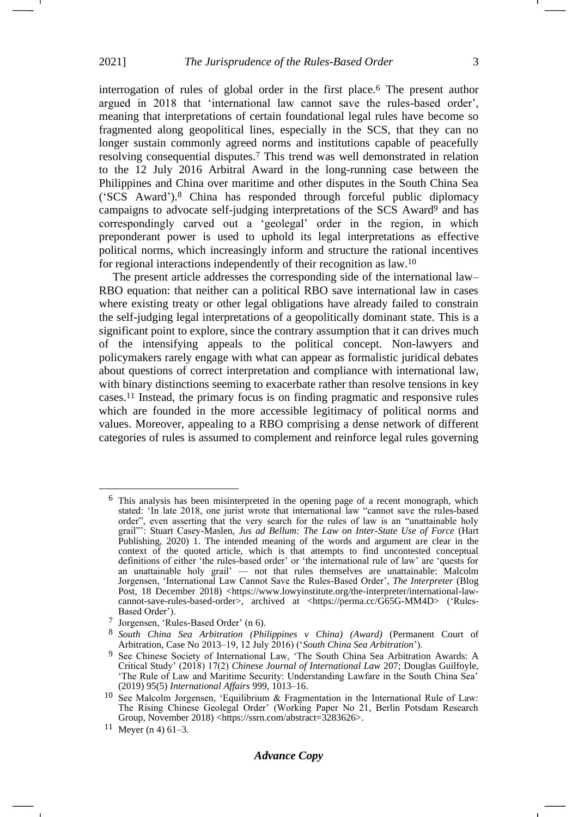<span id="page-2-0"></span>interrogation of rules of global order in the first place.<sup>6</sup> The present author argued in 2018 that 'international law cannot save the rules-based order', meaning that interpretations of certain foundational legal rules have become so fragmented along geopolitical lines, especially in the SCS, that they can no longer sustain commonly agreed norms and institutions capable of peacefully resolving consequential disputes.<sup>7</sup> This trend was well demonstrated in relation to the 12 July 2016 Arbitral Award in the long-running case between the Philippines and China over maritime and other disputes in the South China Sea ('SCS Award').<sup>8</sup> China has responded through forceful public diplomacy campaigns to advocate self-judging interpretations of the SCS Award<sup>9</sup> and has correspondingly carved out a 'geolegal' order in the region, in which preponderant power is used to uphold its legal interpretations as effective political norms, which increasingly inform and structure the rational incentives for regional interactions independently of their recognition as law.<sup>10</sup>

<span id="page-2-1"></span>The present article addresses the corresponding side of the international law– RBO equation: that neither can a political RBO save international law in cases where existing treaty or other legal obligations have already failed to constrain the self-judging legal interpretations of a geopolitically dominant state. This is a significant point to explore, since the contrary assumption that it can drives much of the intensifying appeals to the political concept. Non-lawyers and policymakers rarely engage with what can appear as formalistic juridical debates about questions of correct interpretation and compliance with international law, with binary distinctions seeming to exacerbate rather than resolve tensions in key cases.<sup>11</sup> Instead, the primary focus is on finding pragmatic and responsive rules which are founded in the more accessible legitimacy of political norms and values. Moreover, appealing to a RBO comprising a dense network of different categories of rules is assumed to complement and reinforce legal rules governing

<sup>6</sup> This analysis has been misinterpreted in the opening page of a recent monograph, which stated: 'In late 2018, one jurist wrote that international law "cannot save the rules-based order", even asserting that the very search for the rules of law is an "unattainable holy grail"': Stuart Casey-Maslen, *Jus ad Bellum: The Law on Inter-State Use of Force* (Hart Publishing, 2020) 1. The intended meaning of the words and argument are clear in the context of the quoted article, which is that attempts to find uncontested conceptual definitions of either 'the rules-based order' or 'the international rule of law' are 'quests for an unattainable holy grail' — not that rules themselves are unattainable: Malcolm Jorgensen, 'International Law Cannot Save the Rules-Based Order', *The Interpreter* (Blog Post, 18 December 2018) [<https://www.lowyinstitute.org/the-interpreter/international-law](https://www.lowyinstitute.org/the-interpreter/international-law-cannot-save-rules-based-order)[cannot-save-rules-based-order>](https://www.lowyinstitute.org/the-interpreter/international-law-cannot-save-rules-based-order), archived at <https://perma.cc/G65G-MM4D> ('Rules-Based Order').

<sup>7</sup> Jorgensen, 'Rules-Based Order' (n [6\)](#page-2-0).

<sup>8</sup> *South China Sea Arbitration (Philippines v China) (Award)* (Permanent Court of Arbitration, Case No 2013–19, 12 July 2016) ('*South China Sea Arbitration*').

<sup>9</sup> See Chinese Society of International Law, 'The South China Sea Arbitration Awards: A Critical Study' (2018) 17(2) *Chinese Journal of International Law* 207; Douglas Guilfoyle, 'The Rule of Law and Maritime Security: Understanding Lawfare in the South China Sea' (2019) 95(5) *International Affairs* 999, 1013–16.

<sup>&</sup>lt;sup>10</sup> See Malcolm Jorgensen, 'Equilibrium & Fragmentation in the International Rule of Law: The Rising Chinese Geolegal Order' (Working Paper No 21, Berlin Potsdam Research Group, November 2018) <https://ssrn.com/abstract=3283626>.

<sup>11</sup> Meyer (n [4\)](#page-1-0)  $61-3$ .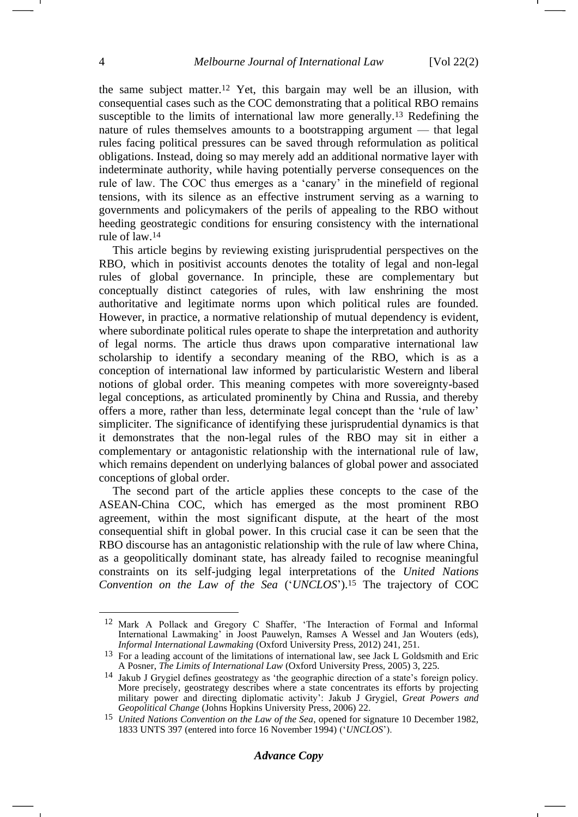<span id="page-3-0"></span>the same subject matter.<sup>12</sup> Yet, this bargain may well be an illusion, with consequential cases such as the COC demonstrating that a political RBO remains susceptible to the limits of international law more generally.<sup>13</sup> Redefining the nature of rules themselves amounts to a bootstrapping argument — that legal rules facing political pressures can be saved through reformulation as political obligations. Instead, doing so may merely add an additional normative layer with indeterminate authority, while having potentially perverse consequences on the rule of law. The COC thus emerges as a 'canary' in the minefield of regional tensions, with its silence as an effective instrument serving as a warning to governments and policymakers of the perils of appealing to the RBO without heeding geostrategic conditions for ensuring consistency with the international rule of law.<sup>14</sup>

This article begins by reviewing existing jurisprudential perspectives on the RBO, which in positivist accounts denotes the totality of legal and non-legal rules of global governance. In principle, these are complementary but conceptually distinct categories of rules, with law enshrining the most authoritative and legitimate norms upon which political rules are founded. However, in practice, a normative relationship of mutual dependency is evident, where subordinate political rules operate to shape the interpretation and authority of legal norms. The article thus draws upon comparative international law scholarship to identify a secondary meaning of the RBO, which is as a conception of international law informed by particularistic Western and liberal notions of global order. This meaning competes with more sovereignty-based legal conceptions, as articulated prominently by China and Russia, and thereby offers a more, rather than less, determinate legal concept than the 'rule of law' simpliciter. The significance of identifying these jurisprudential dynamics is that it demonstrates that the non-legal rules of the RBO may sit in either a complementary or antagonistic relationship with the international rule of law, which remains dependent on underlying balances of global power and associated conceptions of global order.

The second part of the article applies these concepts to the case of the ASEAN-China COC, which has emerged as the most prominent RBO agreement, within the most significant dispute, at the heart of the most consequential shift in global power. In this crucial case it can be seen that the RBO discourse has an antagonistic relationship with the rule of law where China, as a geopolitically dominant state, has already failed to recognise meaningful constraints on its self-judging legal interpretations of the *United Nations Convention on the Law of the Sea* ('*UNCLOS*').<sup>15</sup> The trajectory of COC

<span id="page-3-1"></span><sup>12</sup> Mark A Pollack and Gregory C Shaffer, 'The Interaction of Formal and Informal International Lawmaking' in Joost Pauwelyn, Ramses A Wessel and Jan Wouters (eds), *Informal International Lawmaking* (Oxford University Press, 2012) 241, 251.

<sup>&</sup>lt;sup>13</sup> For a leading account of the limitations of international law, see Jack L Goldsmith and Eric A Posner, *The Limits of International Law* (Oxford University Press, 2005) 3, 225.

<sup>14</sup> Jakub J Grygiel defines geostrategy as 'the geographic direction of a state's foreign policy. More precisely, geostrategy describes where a state concentrates its efforts by projecting military power and directing diplomatic activity': Jakub J Grygiel, *Great Powers and Geopolitical Change* (Johns Hopkins University Press, 2006) 22.

<sup>15</sup> *United Nations Convention on the Law of the Sea*, opened for signature 10 December 1982, 1833 UNTS 397 (entered into force 16 November 1994) ('*UNCLOS*').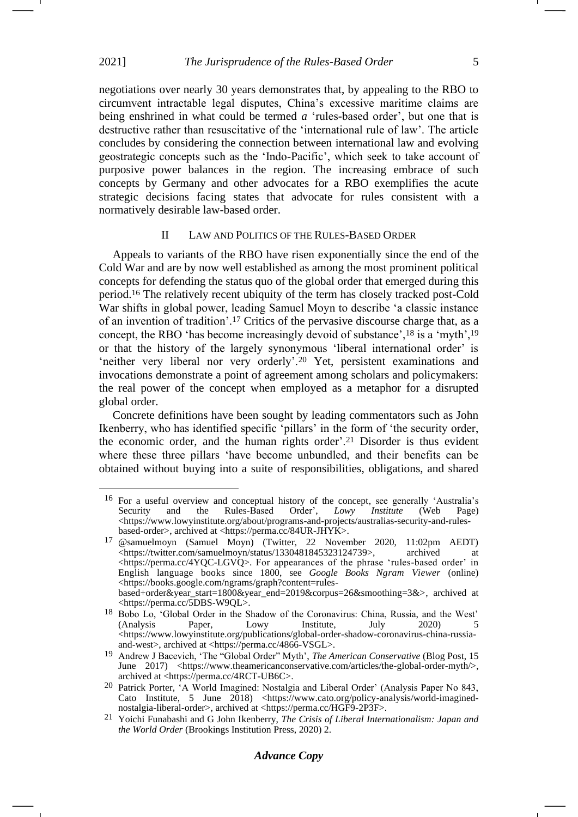negotiations over nearly 30 years demonstrates that, by appealing to the RBO to circumvent intractable legal disputes, China's excessive maritime claims are being enshrined in what could be termed *a* 'rules-based order', but one that is destructive rather than resuscitative of the 'international rule of law'. The article concludes by considering the connection between international law and evolving geostrategic concepts such as the 'Indo-Pacific', which seek to take account of purposive power balances in the region. The increasing embrace of such concepts by Germany and other advocates for a RBO exemplifies the acute strategic decisions facing states that advocate for rules consistent with a normatively desirable law-based order.

#### II LAW AND POLITICS OF THE RULES-BASED ORDER

Appeals to variants of the RBO have risen exponentially since the end of the Cold War and are by now well established as among the most prominent political concepts for defending the status quo of the global order that emerged during this period.<sup>16</sup> The relatively recent ubiquity of the term has closely tracked post-Cold War shifts in global power, leading Samuel Moyn to describe 'a classic instance of an invention of tradition'.<sup>17</sup> Critics of the pervasive discourse charge that, as a concept, the RBO 'has become increasingly devoid of substance',<sup>18</sup> is a 'myth',<sup>19</sup> or that the history of the largely synonymous 'liberal international order' is 'neither very liberal nor very orderly'.<sup>20</sup> Yet, persistent examinations and invocations demonstrate a point of agreement among scholars and policymakers: the real power of the concept when employed as a metaphor for a disrupted global order.

Concrete definitions have been sought by leading commentators such as John Ikenberry, who has identified specific 'pillars' in the form of 'the security order, the economic order, and the human rights order'.<sup>21</sup> Disorder is thus evident where these three pillars 'have become unbundled, and their benefits can be obtained without buying into a suite of responsibilities, obligations, and shared

<sup>16</sup> For a useful overview and conceptual history of the concept, see generally 'Australia's Security and the Rules-Based Order', *Lowy Institute* (Web Page)  $\langle$ https://www.lowyinstitute.org/about/programs-and-projects/australias-security-and-rulesbased-order>, archived at <https://perma.cc/84UR-JHYK>.

<sup>17</sup> @samuelmoyn (Samuel Moyn) (Twitter, 22 November 2020, 11:02pm AEDT) [<https://twitter.com/samuelmoyn/status/1330481845323124739>](https://twitter.com/samuelmoyn/status/1330481845323124739), archived at <https://perma.cc/4YQC-LGVQ>. For appearances of the phrase 'rules-based order' in English language books since 1800, see *Google Books Ngram Viewer* (online) <https://books.google.com/ngrams/graph?content=rulesbased+order&year\_start=1800&year\_end=2019&corpus=26&smoothing=3&>, archived at <https://perma.cc/5DBS-W9QL>.

<sup>18</sup> Bobo Lo, 'Global Order in the Shadow of the Coronavirus: China, Russia, and the West' (Analysis Paper, Lowy Institute, July 2020) 5 <https://www.lowyinstitute.org/publications/global-order-shadow-coronavirus-china-russiaand-west>, archived at <https://perma.cc/4866-VSGL>.

<sup>19</sup> Andrew J Bacevich, 'The "Global Order" Myth', *The American Conservative* (Blog Post, 15 June 2017) <https://www.theamericanconservative.com/articles/the-global-order-myth/>, archived at <https://perma.cc/4RCT-UB6C>.

<sup>20</sup> Patrick Porter, 'A World Imagined: Nostalgia and Liberal Order' (Analysis Paper No 843, Cato Institute, 5 June 2018) <https://www.cato.org/policy-analysis/world-imaginednostalgia-liberal-order>, archived at <https://perma.cc/HGF9-2P3F>.

<sup>21</sup> Yoichi Funabashi and G John Ikenberry, *The Crisis of Liberal Internationalism: Japan and the World Order* (Brookings Institution Press, 2020) 2.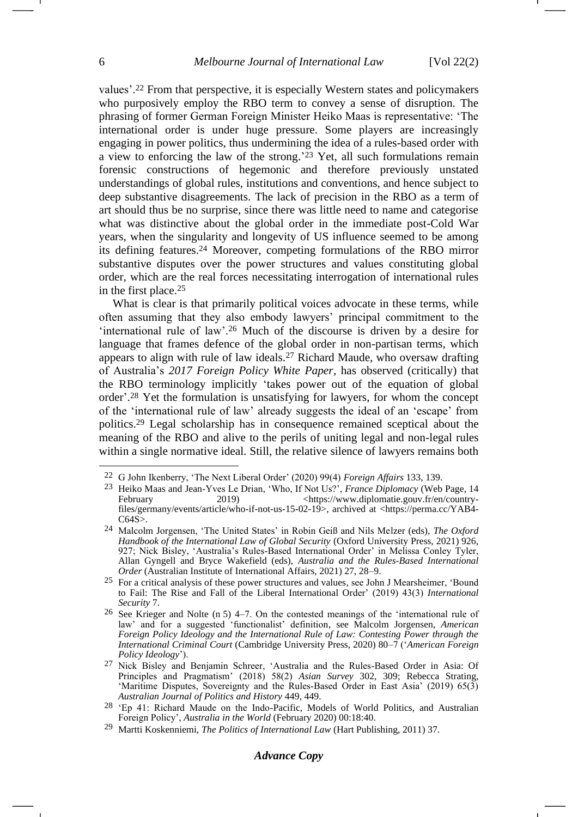values'.<sup>22</sup> From that perspective, it is especially Western states and policymakers who purposively employ the RBO term to convey a sense of disruption. The phrasing of former German Foreign Minister Heiko Maas is representative: 'The international order is under huge pressure. Some players are increasingly engaging in power politics, thus undermining the idea of a rules-based order with a view to enforcing the law of the strong.' <sup>23</sup> Yet, all such formulations remain forensic constructions of hegemonic and therefore previously unstated understandings of global rules, institutions and conventions, and hence subject to deep substantive disagreements. The lack of precision in the RBO as a term of art should thus be no surprise, since there was little need to name and categorise what was distinctive about the global order in the immediate post-Cold War years, when the singularity and longevity of US influence seemed to be among its defining features.<sup>24</sup> Moreover, competing formulations of the RBO mirror substantive disputes over the power structures and values constituting global order, which are the real forces necessitating interrogation of international rules in the first place.<sup>25</sup>

<span id="page-5-0"></span>What is clear is that primarily political voices advocate in these terms, while often assuming that they also embody lawyers' principal commitment to the 'international rule of law'.<sup>26</sup> Much of the discourse is driven by a desire for language that frames defence of the global order in non-partisan terms, which appears to align with rule of law ideals.<sup>27</sup> Richard Maude, who oversaw drafting of Australia's *2017 Foreign Policy White Paper*, has observed (critically) that the RBO terminology implicitly 'takes power out of the equation of global order'. <sup>28</sup> Yet the formulation is unsatisfying for lawyers, for whom the concept of the 'international rule of law' already suggests the ideal of an 'escape' from politics.<sup>29</sup> Legal scholarship has in consequence remained sceptical about the meaning of the RBO and alive to the perils of uniting legal and non-legal rules within a single normative ideal. Still, the relative silence of lawyers remains both

# *Advance Copy*

<sup>22</sup> G John Ikenberry, 'The Next Liberal Order' (2020) 99(4) *Foreign Affairs* 133, 139.

<sup>23</sup> Heiko Maas and Jean-Yves Le Drian, 'Who, If Not Us?', *France Diplomacy* (Web Page, 14 February 2019)  $2019$  <https://www.diplomatie.gouv.fr/en/countryfiles/germany/events/article/who-if-not-us-15-02-19>, archived at <https://perma.cc/YAB4- C64S>.

<sup>24</sup> Malcolm Jorgensen, 'The United States' in Robin Geiß and Nils Melzer (eds), *The Oxford Handbook of the International Law of Global Security* (Oxford University Press, 2021) 926, 927; Nick Bisley, 'Australia's Rules-Based International Order' in Melissa Conley Tyler, Allan Gyngell and Bryce Wakefield (eds), *Australia and the Rules-Based International Order* (Australian Institute of International Affairs, 2021) 27, 28–9.

<sup>25</sup> For a critical analysis of these power structures and values, see John J Mearsheimer, 'Bound to Fail: The Rise and Fall of the Liberal International Order' (2019) 43(3) *International Security* 7.

<sup>26</sup> See Krieger and Nolte (n [5\)](#page-1-1) 4–7. On the contested meanings of the 'international rule of law' and for a suggested 'functionalist' definition, see Malcolm Jorgensen, *American Foreign Policy Ideology and the International Rule of Law: Contesting Power through the International Criminal Court* (Cambridge University Press, 2020) 80–7 ('*American Foreign Policy Ideology*').

<sup>&</sup>lt;sup>27</sup> Nick Bisley and Benjamin Schreer, 'Australia and the Rules-Based Order in Asia: Of Principles and Pragmatism' (2018) 58(2) *Asian Survey* 302, 309; Rebecca Strating, 'Maritime Disputes, Sovereignty and the Rules‐Based Order in East Asia' (2019) 65(3) *Australian Journal of Politics and History* 449, 449.

<sup>28</sup> 'Ep 41: Richard Maude on the Indo-Pacific, Models of World Politics, and Australian Foreign Policy', *Australia in the World* (February 2020) 00:18:40.

<sup>29</sup> Martti Koskenniemi, *The Politics of International Law* (Hart Publishing, 2011) 37.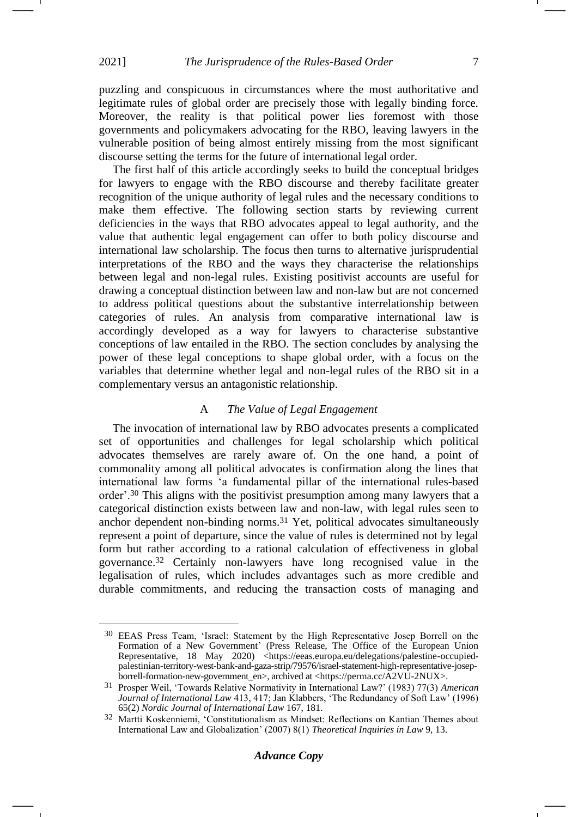puzzling and conspicuous in circumstances where the most authoritative and legitimate rules of global order are precisely those with legally binding force. Moreover, the reality is that political power lies foremost with those governments and policymakers advocating for the RBO, leaving lawyers in the vulnerable position of being almost entirely missing from the most significant discourse setting the terms for the future of international legal order.

The first half of this article accordingly seeks to build the conceptual bridges for lawyers to engage with the RBO discourse and thereby facilitate greater recognition of the unique authority of legal rules and the necessary conditions to make them effective. The following section starts by reviewing current deficiencies in the ways that RBO advocates appeal to legal authority, and the value that authentic legal engagement can offer to both policy discourse and international law scholarship. The focus then turns to alternative jurisprudential interpretations of the RBO and the ways they characterise the relationships between legal and non-legal rules. Existing positivist accounts are useful for drawing a conceptual distinction between law and non-law but are not concerned to address political questions about the substantive interrelationship between categories of rules. An analysis from comparative international law is accordingly developed as a way for lawyers to characterise substantive conceptions of law entailed in the RBO. The section concludes by analysing the power of these legal conceptions to shape global order, with a focus on the variables that determine whether legal and non-legal rules of the RBO sit in a complementary versus an antagonistic relationship.

# <span id="page-6-0"></span>A *The Value of Legal Engagement*

The invocation of international law by RBO advocates presents a complicated set of opportunities and challenges for legal scholarship which political advocates themselves are rarely aware of. On the one hand, a point of commonality among all political advocates is confirmation along the lines that international law forms 'a fundamental pillar of the international rules-based order'.<sup>30</sup> This aligns with the positivist presumption among many lawyers that a categorical distinction exists between law and non-law, with legal rules seen to anchor dependent non-binding norms.<sup>31</sup> Yet, political advocates simultaneously represent a point of departure, since the value of rules is determined not by legal form but rather according to a rational calculation of effectiveness in global governance.<sup>32</sup> Certainly non-lawyers have long recognised value in the legalisation of rules, which includes advantages such as more credible and durable commitments, and reducing the transaction costs of managing and

<sup>30</sup> EEAS Press Team, 'Israel: Statement by the High Representative Josep Borrell on the Formation of a New Government' (Press Release, The Office of the European Union Representative, 18 May 2020) <https://eeas.europa.eu/delegations/palestine-occupiedpalestinian-territory-west-bank-and-gaza-strip/79576/israel-statement-high-representative-josepborrell-formation-new-government\_en>, archived at <https://perma.cc/A2VU-2NUX>.

<sup>31</sup> Prosper Weil, 'Towards Relative Normativity in International Law?' (1983) 77(3) *American Journal of International Law* 413, 417; Jan Klabbers, 'The Redundancy of Soft Law' (1996) 65(2) *Nordic Journal of International Law* 167, 181.

<sup>32</sup> Martti Koskenniemi, 'Constitutionalism as Mindset: Reflections on Kantian Themes about International Law and Globalization' (2007) 8(1) *Theoretical Inquiries in Law* 9, 13.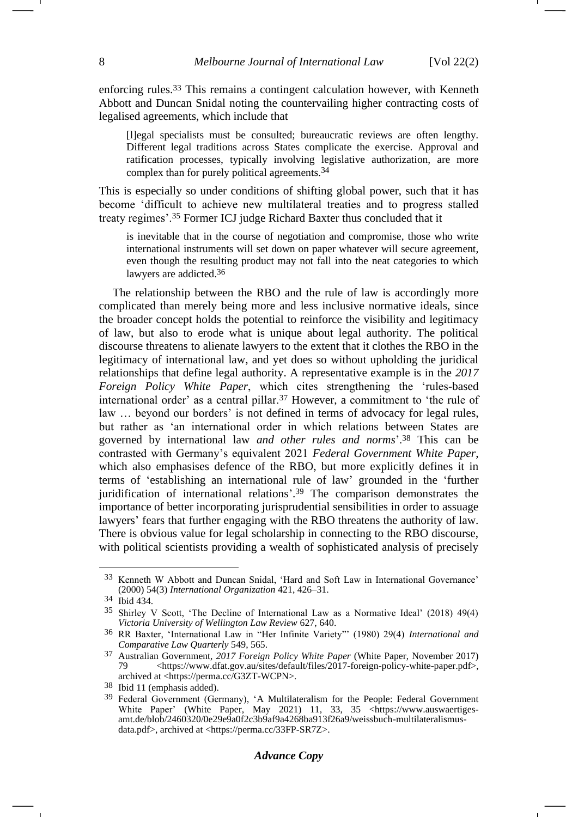enforcing rules.<sup>33</sup> This remains a contingent calculation however, with Kenneth Abbott and Duncan Snidal noting the countervailing higher contracting costs of legalised agreements, which include that

<span id="page-7-2"></span>[l]egal specialists must be consulted; bureaucratic reviews are often lengthy. Different legal traditions across States complicate the exercise. Approval and ratification processes, typically involving legislative authorization, are more complex than for purely political agreements.34

This is especially so under conditions of shifting global power, such that it has become 'difficult to achieve new multilateral treaties and to progress stalled treaty regimes'.<sup>35</sup> Former ICJ judge Richard Baxter thus concluded that it

<span id="page-7-1"></span><span id="page-7-0"></span>is inevitable that in the course of negotiation and compromise, those who write international instruments will set down on paper whatever will secure agreement, even though the resulting product may not fall into the neat categories to which lawyers are addicted.36

The relationship between the RBO and the rule of law is accordingly more complicated than merely being more and less inclusive normative ideals, since the broader concept holds the potential to reinforce the visibility and legitimacy of law, but also to erode what is unique about legal authority. The political discourse threatens to alienate lawyers to the extent that it clothes the RBO in the legitimacy of international law, and yet does so without upholding the juridical relationships that define legal authority. A representative example is in the *2017 Foreign Policy White Paper*, which cites strengthening the 'rules-based international order' as a central pillar.<sup>37</sup> However, a commitment to 'the rule of law … beyond our borders' is not defined in terms of advocacy for legal rules, but rather as 'an international order in which relations between States are governed by international law *and other rules and norms*'.<sup>38</sup> This can be contrasted with Germany's equivalent 2021 *Federal Government White Paper*, which also emphasises defence of the RBO, but more explicitly defines it in terms of 'establishing an international rule of law' grounded in the 'further juridification of international relations'. <sup>39</sup> The comparison demonstrates the importance of better incorporating jurisprudential sensibilities in order to assuage lawyers' fears that further engaging with the RBO threatens the authority of law. There is obvious value for legal scholarship in connecting to the RBO discourse, with political scientists providing a wealth of sophisticated analysis of precisely

<sup>33</sup> Kenneth W Abbott and Duncan Snidal, 'Hard and Soft Law in International Governance' (2000) 54(3) *International Organization* 421, 426–31.

<sup>34</sup> Ibid 434.

<sup>35</sup> Shirley V Scott, 'The Decline of International Law as a Normative Ideal' (2018) 49(4) *Victoria University of Wellington Law Review* 627, 640.

<sup>36</sup> RR Baxter, 'International Law in "Her Infinite Variety"' (1980) 29(4) *International and Comparative Law Quarterly* 549, 565.

<sup>37</sup> Australian Government, *2017 Foreign Policy White Paper* (White Paper, November 2017) 79 <https://www.dfat.gov.au/sites/default/files/2017-foreign-policy-white-paper.pdf>, archived at <https://perma.cc/G3ZT-WCPN>.

<sup>38</sup> Ibid 11 (emphasis added).

<sup>&</sup>lt;sup>39</sup> Federal Government (Germany), 'A Multilateralism for the People: Federal Government White Paper' (White Paper, May 2021) 11, 33, 35 <https://www.auswaertigesamt.de/blob/2460320/0e29e9a0f2c3b9af9a4268ba913f26a9/weissbuch-multilateralismusdata.pdf>, archived at <https://perma.cc/33FP-SR7Z>.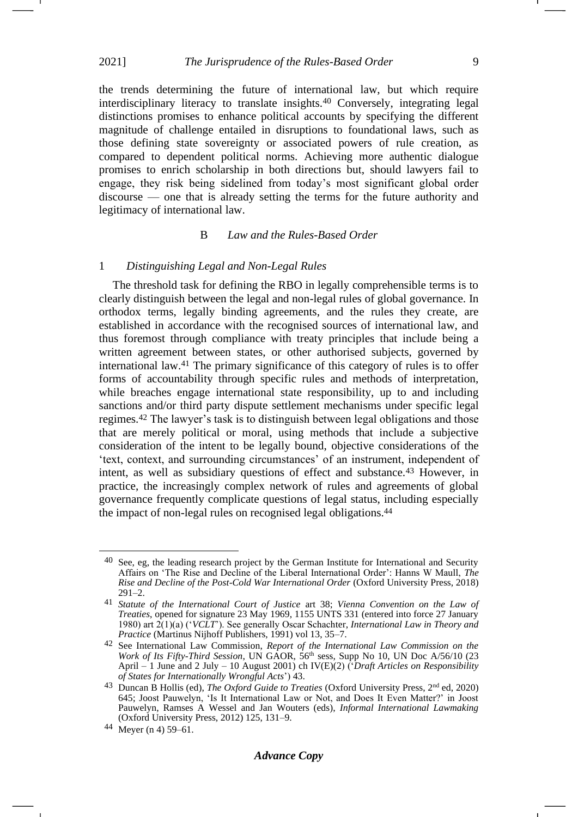# 2021] *The Jurisprudence of the Rules-Based Order* 9

the trends determining the future of international law, but which require interdisciplinary literacy to translate insights.<sup>40</sup> Conversely, integrating legal distinctions promises to enhance political accounts by specifying the different magnitude of challenge entailed in disruptions to foundational laws, such as those defining state sovereignty or associated powers of rule creation, as compared to dependent political norms. Achieving more authentic dialogue promises to enrich scholarship in both directions but, should lawyers fail to engage, they risk being sidelined from today's most significant global order discourse — one that is already setting the terms for the future authority and legitimacy of international law.

## <span id="page-8-0"></span>B *Law and the Rules-Based Order*

### 1 *Distinguishing Legal and Non-Legal Rules*

<span id="page-8-1"></span>The threshold task for defining the RBO in legally comprehensible terms is to clearly distinguish between the legal and non-legal rules of global governance. In orthodox terms, legally binding agreements, and the rules they create, are established in accordance with the recognised sources of international law, and thus foremost through compliance with treaty principles that include being a written agreement between states, or other authorised subjects, governed by international law.<sup>41</sup> The primary significance of this category of rules is to offer forms of accountability through specific rules and methods of interpretation, while breaches engage international state responsibility, up to and including sanctions and/or third party dispute settlement mechanisms under specific legal regimes.<sup>42</sup> The lawyer's task is to distinguish between legal obligations and those that are merely political or moral, using methods that include a subjective consideration of the intent to be legally bound, objective considerations of the 'text, context, and surrounding circumstances' of an instrument, independent of intent, as well as subsidiary questions of effect and substance.<sup>43</sup> However, in practice, the increasingly complex network of rules and agreements of global governance frequently complicate questions of legal status, including especially the impact of non-legal rules on recognised legal obligations.<sup>44</sup>

 $40$  See, eg, the leading research project by the German Institute for International and Security Affairs on 'The Rise and Decline of the Liberal International Order': Hanns W Maull, *The Rise and Decline of the Post-Cold War International Order* (Oxford University Press, 2018) 291–2.

<sup>41</sup> *Statute of the International Court of Justice* art 38; *Vienna Convention on the Law of Treaties*, opened for signature 23 May 1969, 1155 UNTS 331 (entered into force 27 January 1980) art 2(1)(a) ('*VCLT*'). See generally Oscar Schachter, *International Law in Theory and Practice* (Martinus Nijhoff Publishers, 1991) vol 13, 35–7.

<sup>42</sup> See International Law Commission, *Report of the International Law Commission on the Work of Its Fifty-Third Session*, UN GAOR, 56th sess, Supp No 10, UN Doc A/56/10 (23 April – 1 June and 2 July – 10 August 2001) ch IV(E)(2) ('*Draft Articles on Responsibility of States for Internationally Wrongful Acts*') 43.

<sup>43</sup> Duncan B Hollis (ed), *The Oxford Guide to Treaties* (Oxford University Press, 2nd ed, 2020) 645; Joost Pauwelyn, 'Is It International Law or Not, and Does It Even Matter?' in Joost Pauwelyn, Ramses A Wessel and Jan Wouters (eds), *Informal International Lawmaking* (Oxford University Press, 2012) 125, 131–9.

<sup>44</sup> Meyer (n [4\)](#page-1-0) 59–61.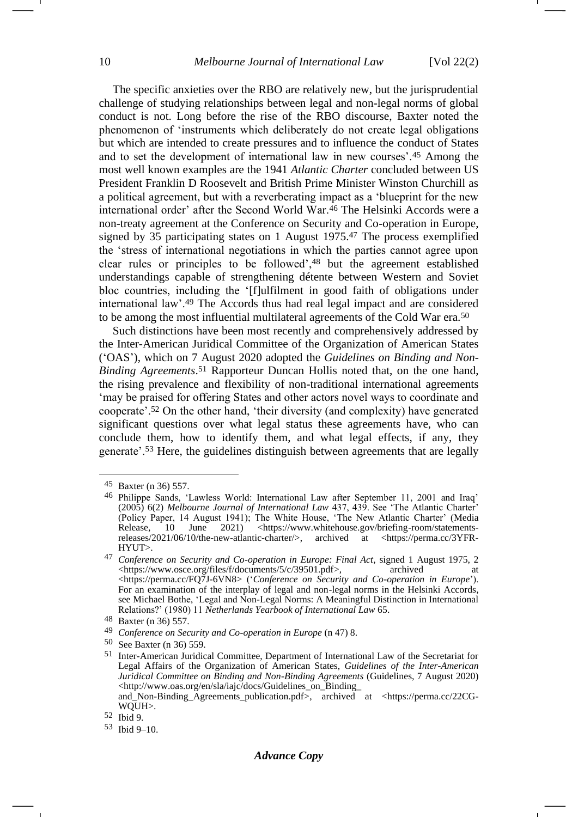The specific anxieties over the RBO are relatively new, but the jurisprudential challenge of studying relationships between legal and non-legal norms of global conduct is not. Long before the rise of the RBO discourse, Baxter noted the phenomenon of 'instruments which deliberately do not create legal obligations but which are intended to create pressures and to influence the conduct of States and to set the development of international law in new courses'.<sup>45</sup> Among the most well known examples are the 1941 *Atlantic Charter* concluded between US President Franklin D Roosevelt and British Prime Minister Winston Churchill as a political agreement, but with a reverberating impact as a 'blueprint for the new international order' after the Second World War.<sup>46</sup> The Helsinki Accords were a non-treaty agreement at the Conference on Security and Co-operation in Europe, signed by 35 participating states on 1 August 1975.<sup>47</sup> The process exemplified the 'stress of international negotiations in which the parties cannot agree upon clear rules or principles to be followed',<sup>48</sup> but the agreement established understandings capable of strengthening détente between Western and Soviet bloc countries, including the '[f]ulfilment in good faith of obligations under international law'.<sup>49</sup> The Accords thus had real legal impact and are considered to be among the most influential multilateral agreements of the Cold War era.<sup>50</sup>

<span id="page-9-0"></span>Such distinctions have been most recently and comprehensively addressed by the Inter-American Juridical Committee of the Organization of American States ('OAS'), which on 7 August 2020 adopted the *Guidelines on Binding and Non-Binding Agreements*. <sup>51</sup> Rapporteur Duncan Hollis noted that, on the one hand, the rising prevalence and flexibility of non-traditional international agreements 'may be praised for offering States and other actors novel ways to coordinate and cooperate'.<sup>52</sup> On the other hand, 'their diversity (and complexity) have generated significant questions over what legal status these agreements have, who can conclude them, how to identify them, and what legal effects, if any, they generate'.<sup>53</sup> Here, the guidelines distinguish between agreements that are legally

<sup>45</sup> Baxter (n [36\)](#page-7-0) 557.

<sup>46</sup> Philippe Sands, 'Lawless World: International Law after September 11, 2001 and Iraq' (2005) 6(2) *Melbourne Journal of International Law* 437, 439. See 'The Atlantic Charter' (Policy Paper, 14 August 1941); The White House, 'The New Atlantic Charter' (Media Release, 10 June 2021) <https://www.whitehouse.gov/briefing-room/statementsreleases/2021/06/10/the-new-atlantic-charter/>, archived at <https://perma.cc/3YFR-HYUT>.

<sup>47</sup> *Conference on Security and Co-operation in Europe: Final Act*, signed 1 August 1975, 2 <https://www.osce.org/files/f/documents/5/c/39501.pdf>, archived at <https://perma.cc/FQ7J-6VN8> ('*Conference on Security and Co-operation in Europe*'). For an examination of the interplay of legal and non-legal norms in the Helsinki Accords, see Michael Bothe, 'Legal and Non-Legal Norms: A Meaningful Distinction in International Relations?' (1980) 11 *Netherlands Yearbook of International Law* 65.

<sup>48</sup> Baxter (n [36\)](#page-7-0) 557.

<sup>49</sup> *Conference on Security and Co-operation in Europe* (n [47\)](#page-9-0) 8.

<sup>50</sup> See Baxter (n [36\)](#page-7-0) 559.

<sup>51</sup> Inter-American Juridical Committee, Department of International Law of the Secretariat for Legal Affairs of the Organization of American States, *Guidelines of the Inter-American Juridical Committee on Binding and Non-Binding Agreements* (Guidelines, 7 August 2020) <http://www.oas.org/en/sla/iajc/docs/Guidelines\_on\_Binding\_ and\_Non-Binding\_Agreements\_publication.pdf>, archived at <https://perma.cc/22CG-

WQUH>.

<sup>52</sup> Ibid 9.

<sup>53</sup> Ibid 9–10.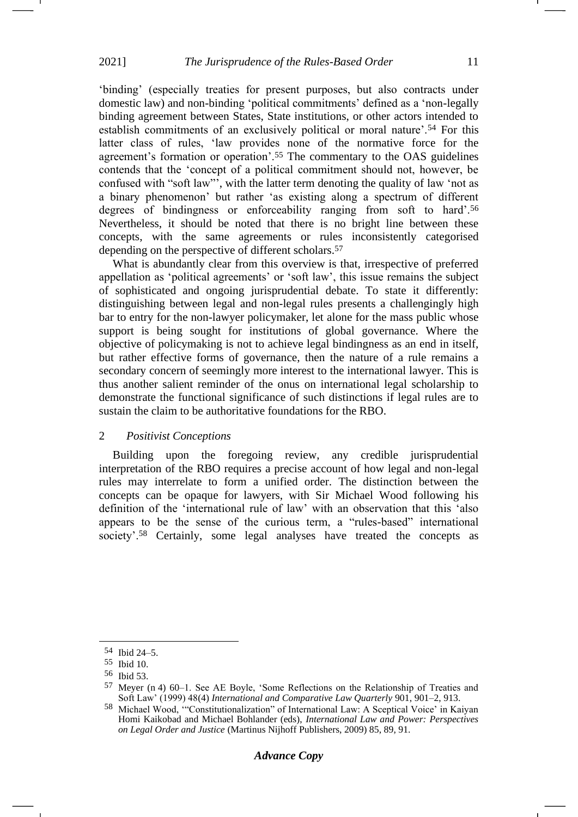'binding' (especially treaties for present purposes, but also contracts under domestic law) and non-binding 'political commitments' defined as a 'non-legally binding agreement between States, State institutions, or other actors intended to establish commitments of an exclusively political or moral nature'.<sup>54</sup> For this latter class of rules, 'law provides none of the normative force for the agreement's formation or operation'.<sup>55</sup> The commentary to the OAS guidelines contends that the 'concept of a political commitment should not, however, be confused with "soft law"', with the latter term denoting the quality of law 'not as a binary phenomenon' but rather 'as existing along a spectrum of different degrees of bindingness or enforceability ranging from soft to hard'.<sup>56</sup> Nevertheless, it should be noted that there is no bright line between these concepts, with the same agreements or rules inconsistently categorised depending on the perspective of different scholars.<sup>57</sup>

<span id="page-10-0"></span>What is abundantly clear from this overview is that, irrespective of preferred appellation as 'political agreements' or 'soft law', this issue remains the subject of sophisticated and ongoing jurisprudential debate. To state it differently: distinguishing between legal and non-legal rules presents a challengingly high bar to entry for the non-lawyer policymaker, let alone for the mass public whose support is being sought for institutions of global governance. Where the objective of policymaking is not to achieve legal bindingness as an end in itself, but rather effective forms of governance, then the nature of a rule remains a secondary concern of seemingly more interest to the international lawyer. This is thus another salient reminder of the onus on international legal scholarship to demonstrate the functional significance of such distinctions if legal rules are to sustain the claim to be authoritative foundations for the RBO.

## 2 *Positivist Conceptions*

Building upon the foregoing review, any credible jurisprudential interpretation of the RBO requires a precise account of how legal and non-legal rules may interrelate to form a unified order. The distinction between the concepts can be opaque for lawyers, with Sir Michael Wood following his definition of the 'international rule of law' with an observation that this 'also appears to be the sense of the curious term, a "rules-based" international society'.<sup>58</sup> Certainly, some legal analyses have treated the concepts as

<sup>54</sup> Ibid 24–5.

<sup>55</sup> Ibid 10.

<sup>56</sup> Ibid 53.

<sup>57</sup> Meyer (n [4\)](#page-1-0) 60–1. See AE Boyle, 'Some Reflections on the Relationship of Treaties and Soft Law' (1999) 48(4) *International and Comparative Law Quarterly* 901, 901–2, 913.

<sup>58</sup> Michael Wood, '"Constitutionalization" of International Law: A Sceptical Voice' in Kaiyan Homi Kaikobad and Michael Bohlander (eds), *International Law and Power: Perspectives on Legal Order and Justice* (Martinus Nijhoff Publishers, 2009) 85, 89, 91.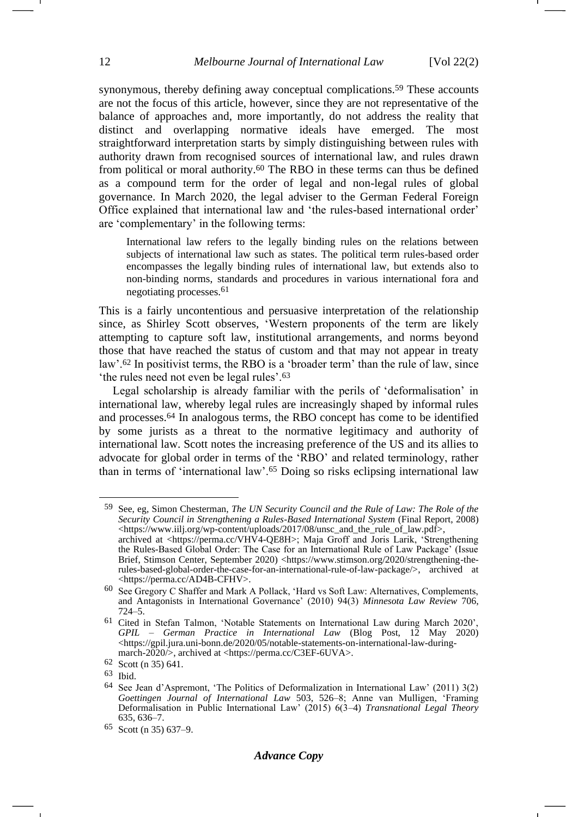synonymous, thereby defining away conceptual complications.<sup>59</sup> These accounts are not the focus of this article, however, since they are not representative of the balance of approaches and, more importantly, do not address the reality that distinct and overlapping normative ideals have emerged. The most straightforward interpretation starts by simply distinguishing between rules with authority drawn from recognised sources of international law, and rules drawn from political or moral authority.<sup>60</sup> The RBO in these terms can thus be defined as a compound term for the order of legal and non-legal rules of global governance. In March 2020, the legal adviser to the German Federal Foreign Office explained that international law and 'the rules-based international order' are 'complementary' in the following terms:

International law refers to the legally binding rules on the relations between subjects of international law such as states. The political term rules-based order encompasses the legally binding rules of international law, but extends also to non-binding norms, standards and procedures in various international fora and negotiating processes.61

This is a fairly uncontentious and persuasive interpretation of the relationship since, as Shirley Scott observes, 'Western proponents of the term are likely attempting to capture soft law, institutional arrangements, and norms beyond those that have reached the status of custom and that may not appear in treaty law'.<sup>62</sup> In positivist terms, the RBO is a 'broader term' than the rule of law, since 'the rules need not even be legal rules'.<sup>63</sup>

Legal scholarship is already familiar with the perils of 'deformalisation' in international law, whereby legal rules are increasingly shaped by informal rules and processes.<sup>64</sup> In analogous terms, the RBO concept has come to be identified by some jurists as a threat to the normative legitimacy and authority of international law. Scott notes the increasing preference of the US and its allies to advocate for global order in terms of the 'RBO' and related terminology, rather than in terms of 'international law'.<sup>65</sup> Doing so risks eclipsing international law

<sup>59</sup> See, eg, Simon Chesterman, *The UN Security Council and the Rule of Law: The Role of the Security Council in Strengthening a Rules-Based International System* (Final Report, 2008) <https://www.iilj.org/wp-content/uploads/2017/08/unsc\_and\_the\_rule\_of\_law.pdf>, archived at <https://perma.cc/VHV4-QE8H>; Maja Groff and Joris Larik, 'Strengthening the Rules-Based Global Order: The Case for an International Rule of Law Package' (Issue Brief, Stimson Center, September 2020) <https://www.stimson.org/2020/strengthening-therules-based-global-order-the-case-for-an-international-rule-of-law-package/>, archived at <https://perma.cc/AD4B-CFHV>.

<sup>60</sup> See Gregory C Shaffer and Mark A Pollack, 'Hard vs Soft Law: Alternatives, Complements, and Antagonists in International Governance' (2010) 94(3) *Minnesota Law Review* 706, 724–5.

<sup>61</sup> Cited in Stefan Talmon, 'Notable Statements on International Law during March 2020', *GPIL – German Practice in International Law* (Blog Post, 12 May 2020) <https://gpil.jura.uni-bonn.de/2020/05/notable-statements-on-international-law-duringmarch-2020/>, archived at <https://perma.cc/C3EF-6UVA>.

<sup>62</sup> Scott (n [35\)](#page-7-1) 641.

<sup>63</sup> Ibid.

<sup>64</sup> See Jean d'Aspremont, 'The Politics of Deformalization in International Law' (2011) 3(2) *Goettingen Journal of International Law* 503, 526–8; Anne van Mulligen, 'Framing Deformalisation in Public International Law' (2015) 6(3–4) *Transnational Legal Theory* 635, 636–7.

<sup>65</sup> Scott (n [35\)](#page-7-1) 637–9.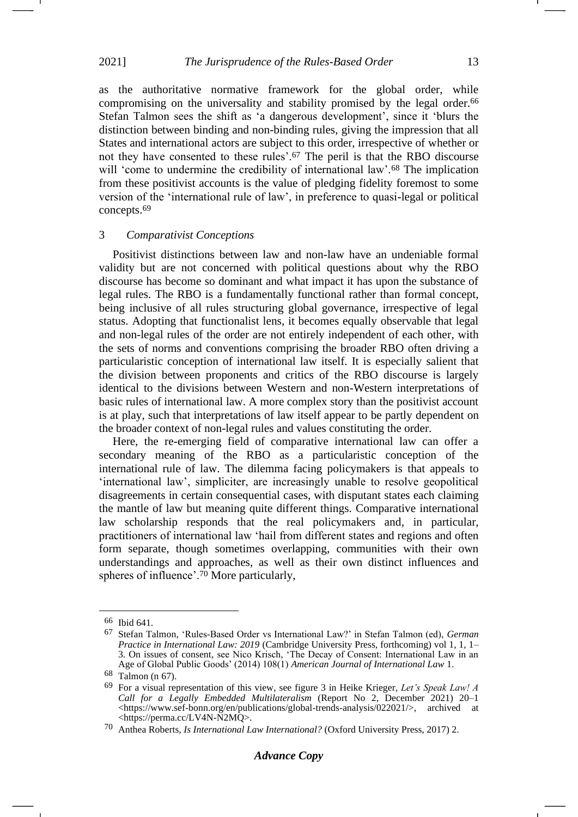2021] *The Jurisprudence of the Rules-Based Order* 13

<span id="page-12-0"></span>as the authoritative normative framework for the global order, while compromising on the universality and stability promised by the legal order.<sup>66</sup> Stefan Talmon sees the shift as 'a dangerous development', since it 'blurs the distinction between binding and non-binding rules, giving the impression that all States and international actors are subject to this order, irrespective of whether or not they have consented to these rules'.<sup>67</sup> The peril is that the RBO discourse will 'come to undermine the credibility of international law'.<sup>68</sup> The implication from these positivist accounts is the value of pledging fidelity foremost to some version of the 'international rule of law', in preference to quasi-legal or political concepts.<sup>69</sup>

#### <span id="page-12-2"></span>3 *Comparativist Conceptions*

Positivist distinctions between law and non-law have an undeniable formal validity but are not concerned with political questions about why the RBO discourse has become so dominant and what impact it has upon the substance of legal rules. The RBO is a fundamentally functional rather than formal concept, being inclusive of all rules structuring global governance, irrespective of legal status. Adopting that functionalist lens, it becomes equally observable that legal and non-legal rules of the order are not entirely independent of each other, with the sets of norms and conventions comprising the broader RBO often driving a particularistic conception of international law itself. It is especially salient that the division between proponents and critics of the RBO discourse is largely identical to the divisions between Western and non-Western interpretations of basic rules of international law. A more complex story than the positivist account is at play, such that interpretations of law itself appear to be partly dependent on the broader context of non-legal rules and values constituting the order.

Here, the re-emerging field of comparative international law can offer a secondary meaning of the RBO as a particularistic conception of the international rule of law. The dilemma facing policymakers is that appeals to 'international law', simpliciter, are increasingly unable to resolve geopolitical disagreements in certain consequential cases, with disputant states each claiming the mantle of law but meaning quite different things. Comparative international law scholarship responds that the real policymakers and, in particular, practitioners of international law 'hail from different states and regions and often form separate, though sometimes overlapping, communities with their own understandings and approaches, as well as their own distinct influences and spheres of influence'.<sup>70</sup> More particularly,

<span id="page-12-1"></span><sup>66</sup> Ibid 641.

<sup>67</sup> Stefan Talmon, 'Rules-Based Order vs International Law?' in Stefan Talmon (ed), *German Practice in International Law: 2019* (Cambridge University Press, forthcoming) vol 1, 1, 1– 3. On issues of consent, see Nico Krisch, 'The Decay of Consent: International Law in an Age of Global Public Goods' (2014) 108(1) *American Journal of International Law* 1.

<sup>68</sup> Talmon (n [67\)](#page-12-0).

<sup>69</sup> For a visual representation of this view, see figure 3 in Heike Krieger, *Let's Speak Law! A Call for a Legally Embedded Multilateralism* (Report No 2, December 2021) 20–1 <https://www.sef-bonn.org/en/publications/global-trends-analysis/022021/>, archived at <https://perma.cc/LV4N-N2MQ>.

<sup>70</sup> Anthea Roberts, *Is International Law International?* (Oxford University Press, 2017) 2.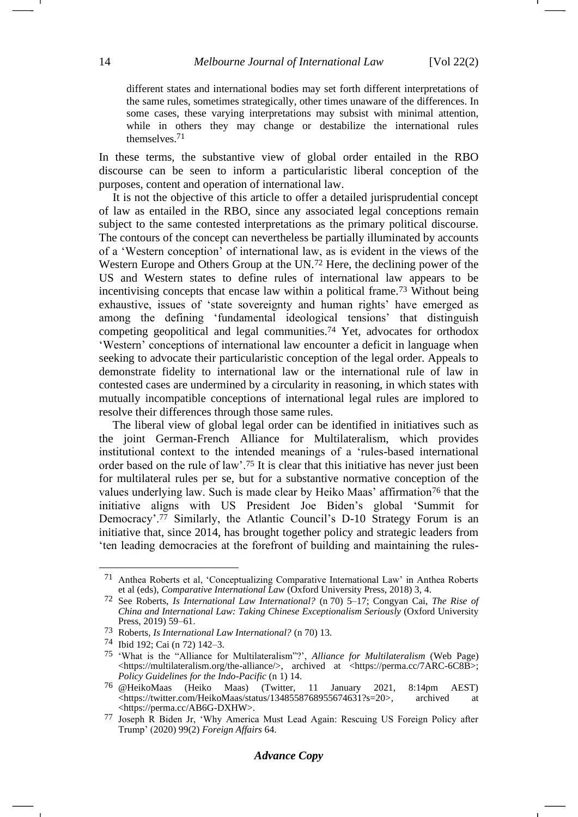different states and international bodies may set forth different interpretations of the same rules, sometimes strategically, other times unaware of the differences. In some cases, these varying interpretations may subsist with minimal attention, while in others they may change or destabilize the international rules themselves.71

In these terms, the substantive view of global order entailed in the RBO discourse can be seen to inform a particularistic liberal conception of the purposes, content and operation of international law.

<span id="page-13-0"></span>It is not the objective of this article to offer a detailed jurisprudential concept of law as entailed in the RBO, since any associated legal conceptions remain subject to the same contested interpretations as the primary political discourse. The contours of the concept can nevertheless be partially illuminated by accounts of a 'Western conception' of international law, as is evident in the views of the Western Europe and Others Group at the UN.<sup>72</sup> Here, the declining power of the US and Western states to define rules of international law appears to be incentivising concepts that encase law within a political frame.<sup>73</sup> Without being exhaustive, issues of 'state sovereignty and human rights' have emerged as among the defining 'fundamental ideological tensions' that distinguish competing geopolitical and legal communities.<sup>74</sup> Yet, advocates for orthodox 'Western' conceptions of international law encounter a deficit in language when seeking to advocate their particularistic conception of the legal order. Appeals to demonstrate fidelity to international law or the international rule of law in contested cases are undermined by a circularity in reasoning, in which states with mutually incompatible conceptions of international legal rules are implored to resolve their differences through those same rules.

The liberal view of global legal order can be identified in initiatives such as the joint German-French Alliance for Multilateralism, which provides institutional context to the intended meanings of a 'rules-based international order based on the rule of law'.<sup>75</sup> It is clear that this initiative has never just been for multilateral rules per se, but for a substantive normative conception of the values underlying law. Such is made clear by Heiko Maas' affirmation<sup>76</sup> that the initiative aligns with US President Joe Biden's global 'Summit for Democracy'.<sup>77</sup> Similarly, the Atlantic Council's D-10 Strategy Forum is an initiative that, since 2014, has brought together policy and strategic leaders from 'ten leading democracies at the forefront of building and maintaining the rules-

<sup>71</sup> Anthea Roberts et al, 'Conceptualizing Comparative International Law' in Anthea Roberts et al (eds), *Comparative International Law* (Oxford University Press, 2018) 3, 4.

<sup>72</sup> See Roberts, *Is International Law International?* (n [70\)](#page-12-1) 5–17; Congyan Cai, *The Rise of China and International Law: Taking Chinese Exceptionalism Seriously* (Oxford University Press, 2019) 59–61.

<sup>73</sup> Roberts, *Is International Law International?* (n [70\)](#page-12-1) 13.

<sup>74</sup> Ibid 192; Cai (n [72\)](#page-13-0) 142–3.

<sup>75</sup> 'What is the "Alliance for Multilateralism"?', *Alliance for Multilateralism* (Web Page) <https://multilateralism.org/the-alliance/>, archived at <https://perma.cc/7ARC-6C8B>; *Policy Guidelines for the Indo-Pacific* (n [1\)](#page-1-2) 14.

<sup>76</sup> @HeikoMaas (Heiko Maas) (Twitter, 11 January 2021, 8:14pm AEST) <https://twitter.com/HeikoMaas/status/1348558768955674631?s=20>, archived at <https://perma.cc/AB6G-DXHW>.

<sup>77</sup> Joseph R Biden Jr, 'Why America Must Lead Again: Rescuing US Foreign Policy after Trump' (2020) 99(2) *Foreign Affairs* 64.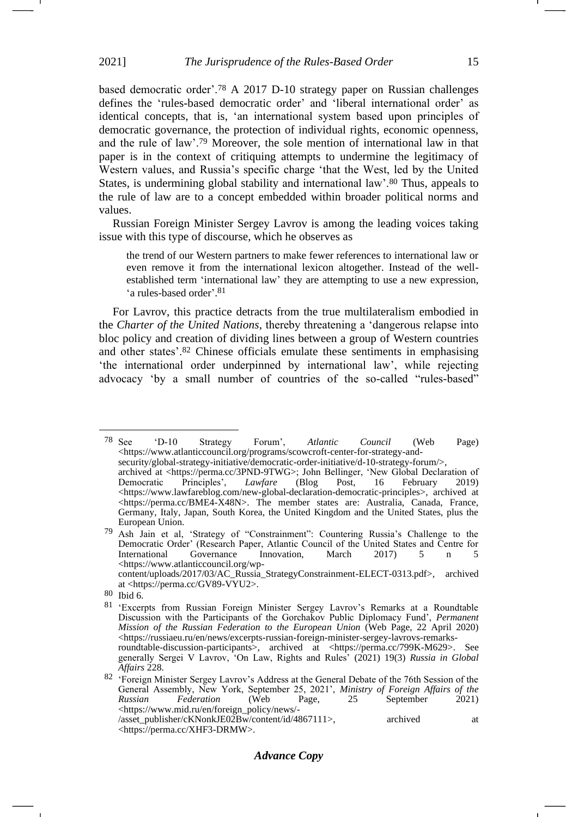based democratic order'.<sup>78</sup> A 2017 D-10 strategy paper on Russian challenges defines the 'rules-based democratic order' and 'liberal international order' as identical concepts, that is, 'an international system based upon principles of democratic governance, the protection of individual rights, economic openness, and the rule of law'.<sup>79</sup> Moreover, the sole mention of international law in that paper is in the context of critiquing attempts to undermine the legitimacy of Western values, and Russia's specific charge 'that the West, led by the United States, is undermining global stability and international law'.<sup>80</sup> Thus, appeals to the rule of law are to a concept embedded within broader political norms and values.

Russian Foreign Minister Sergey Lavrov is among the leading voices taking issue with this type of discourse, which he observes as

the trend of our Western partners to make fewer references to international law or even remove it from the international lexicon altogether. Instead of the wellestablished term 'international law' they are attempting to use a new expression, 'a rules-based order'. 81

For Lavrov, this practice detracts from the true multilateralism embodied in the *Charter of the United Nations*, thereby threatening a 'dangerous relapse into bloc policy and creation of dividing lines between a group of Western countries and other states'.<sup>82</sup> Chinese officials emulate these sentiments in emphasising 'the international order underpinned by international law', while rejecting advocacy 'by a small number of countries of the so-called "rules-based"

-

<sup>78</sup> See 'D-10 Strategy Forum', *Atlantic Council* (Web Page) <https://www.atlanticcouncil.org/programs/scowcroft-center-for-strategy-and-

security/global-strategy-initiative/democratic-order-initiative/d-10-strategy-forum/>, archived at <https://perma.cc/3PND-9TWG>; John Bellinger, 'New Global Declaration of Democratic Principles', Lawfare (Blog Post, 16 February 2019) Principles', <https://www.lawfareblog.com/new-global-declaration-democratic-principles>, archived at <https://perma.cc/BME4-X48N>. The member states are: Australia, Canada, France, Germany, Italy, Japan, South Korea, the United Kingdom and the United States, plus the European Union.

<sup>79</sup> Ash Jain et al, 'Strategy of "Constrainment": Countering Russia's Challenge to the Democratic Order' (Research Paper, Atlantic Council of the United States and Centre for International Governance Innovation, March 2017) 5 n 5 Governance Innovation, March 2017) 5 n 5 <https://www.atlanticcouncil.org/wp-

content/uploads/2017/03/AC\_Russia\_StrategyConstrainment-ELECT-0313.pdf>, archived at <https://perma.cc/GV89-VYU2>.

<sup>80</sup> Ibid 6.

<sup>81</sup> 'Excerpts from Russian Foreign Minister Sergey Lavrov's Remarks at a Roundtable Discussion with the Participants of the Gorchakov Public Diplomacy Fund', *Permanent Mission of the Russian Federation to the European Union* (Web Page, 22 April 2020) <https://russiaeu.ru/en/news/excerpts-russian-foreign-minister-sergey-lavrovs-remarksroundtable-discussion-participants>, archived at <https://perma.cc/799K-M629>. See generally Sergei V Lavrov, 'On Law, Rights and Rules' (2021) 19(3) *Russia in Global Affairs* 228.

<sup>82 &#</sup>x27;Foreign Minister Sergey Lavrov's Address at the General Debate of the 76th Session of the General Assembly, New York, September 25, 2021', *Ministry of Foreign Affairs of the Russian Federation* (Web Page, 25 September 2021) [<https://www.mid.ru/en/foreign\\_policy/news/-](https://www.mid.ru/en/foreign_policy/news/-/asset_publisher/cKNonkJE02Bw/content/id/4867111) [/asset\\_publisher/cKNonkJE02Bw/content/id/4867111>](https://www.mid.ru/en/foreign_policy/news/-/asset_publisher/cKNonkJE02Bw/content/id/4867111), archived at <https://perma.cc/XHF3-DRMW>.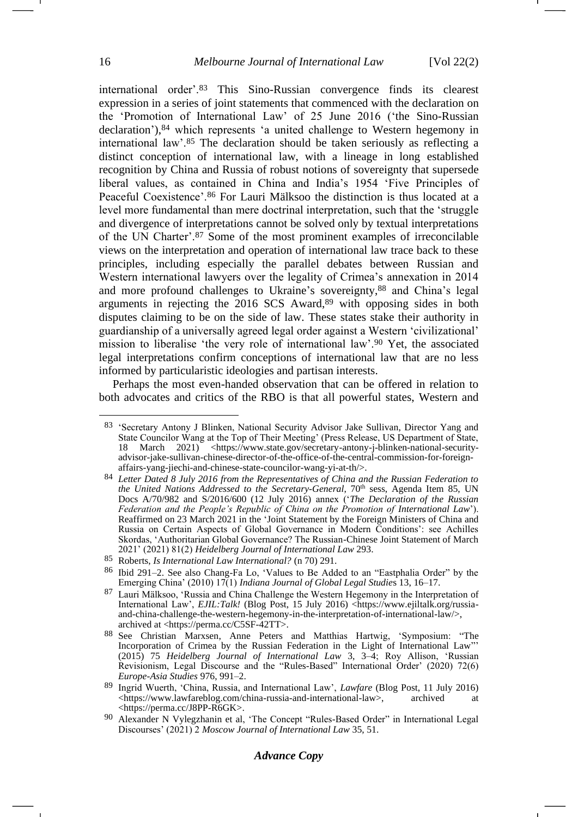international order'.<sup>83</sup> This Sino-Russian convergence finds its clearest expression in a series of joint statements that commenced with the declaration on the 'Promotion of International Law' of 25 June 2016 ('the Sino-Russian declaration'),<sup>84</sup> which represents 'a united challenge to Western hegemony in international law'.<sup>85</sup> The declaration should be taken seriously as reflecting a distinct conception of international law, with a lineage in long established recognition by China and Russia of robust notions of sovereignty that supersede liberal values, as contained in China and India's 1954 'Five Principles of Peaceful Coexistence'.<sup>86</sup> For Lauri Mälksoo the distinction is thus located at a level more fundamental than mere doctrinal interpretation, such that the 'struggle and divergence of interpretations cannot be solved only by textual interpretations of the UN Charter'.<sup>87</sup> Some of the most prominent examples of irreconcilable views on the interpretation and operation of international law trace back to these principles, including especially the parallel debates between Russian and Western international lawyers over the legality of Crimea's annexation in 2014 and more profound challenges to Ukraine's sovereignty, <sup>88</sup> and China's legal arguments in rejecting the 2016 SCS Award,<sup>89</sup> with opposing sides in both disputes claiming to be on the side of law. These states stake their authority in guardianship of a universally agreed legal order against a Western 'civilizational' mission to liberalise 'the very role of international law'.<sup>90</sup> Yet, the associated legal interpretations confirm conceptions of international law that are no less informed by particularistic ideologies and partisan interests.

Perhaps the most even-handed observation that can be offered in relation to both advocates and critics of the RBO is that all powerful states, Western and

## *Advance Copy*

<sup>83</sup> 'Secretary Antony J Blinken, National Security Advisor Jake Sullivan, Director Yang and State Councilor Wang at the Top of Their Meeting' (Press Release, US Department of State, 18 March 2021) <https://www.state.gov/secretary-antony-j-blinken-national-securityadvisor-jake-sullivan-chinese-director-of-the-office-of-the-central-commission-for-foreignaffairs-yang-jiechi-and-chinese-state-councilor-wang-yi-at-th/>.

<sup>84</sup> *Letter Dated 8 July 2016 from the Representatives of China and the Russian Federation to*  the United Nations Addressed to the Secretary-General, 70<sup>th</sup> sess, Agenda Item 85, UN Docs A/70/982 and S/2016/600 (12 July 2016) annex ('*The Declaration of the Russian Federation and the People's Republic of China on the Promotion of International Law*'). Reaffirmed on 23 March 2021 in the 'Joint Statement by the Foreign Ministers of China and Russia on Certain Aspects of Global Governance in Modern Conditions': see Achilles Skordas, 'Authoritarian Global Governance? The Russian-Chinese Joint Statement of March 2021' (2021) 81(2) *Heidelberg Journal of International Law* 293.

<sup>85</sup> Roberts, *Is International Law International?* (n [70\)](#page-12-1) 291.

<sup>86</sup> Ibid 291–2. See also Chang-Fa Lo, 'Values to Be Added to an "Eastphalia Order" by the Emerging China' (2010) 17(1) *Indiana Journal of Global Legal Studie*s 13, 16–17.

<sup>87</sup> Lauri Mälksoo, 'Russia and China Challenge the Western Hegemony in the Interpretation of International Law', *EJIL:Talk!* (Blog Post, 15 July 2016) <https://www.ejiltalk.org/russiaand-china-challenge-the-western-hegemony-in-the-interpretation-of-international-law/>, archived at <https://perma.cc/C5SF-42TT>.

<sup>88</sup> See Christian Marxsen, Anne Peters and Matthias Hartwig, 'Symposium: "The Incorporation of Crimea by the Russian Federation in the Light of International Law"' (2015) 75 *Heidelberg Journal of International Law* 3, 3–4; Roy Allison, 'Russian Revisionism, Legal Discourse and the "Rules-Based" International Order' (2020) 72(6) *Europe-Asia Studies* 976, 991–2.

<sup>89</sup> Ingrid Wuerth, 'China, Russia, and International Law', *Lawfare* (Blog Post, 11 July 2016) <https://www.lawfareblog.com/china-russia-and-international-law>, archived at <https://perma.cc/J8PP-R6GK>.

<sup>90</sup> Alexander N Vylegzhanin et al, 'The Concept "Rules-Based Order" in International Legal Discourses' (2021) 2 *Moscow Journal of International Law* 35, 51.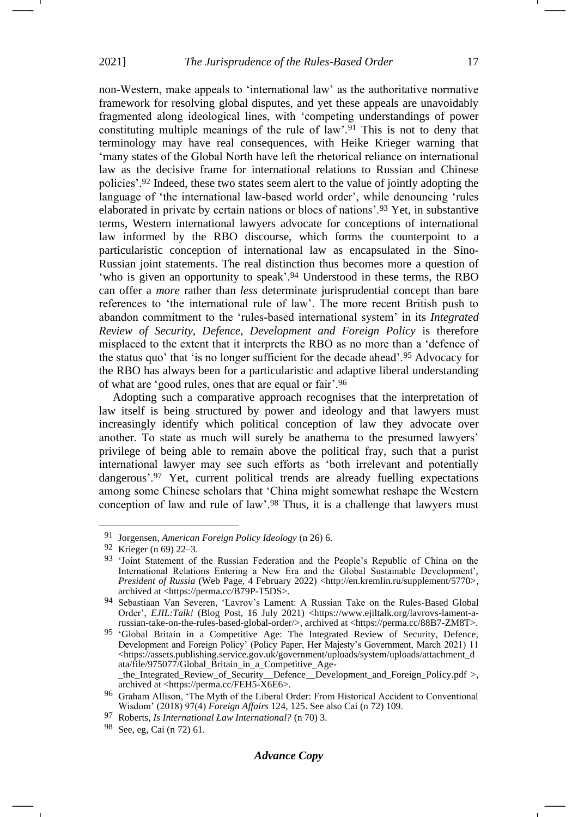non-Western, make appeals to 'international law' as the authoritative normative framework for resolving global disputes, and yet these appeals are unavoidably fragmented along ideological lines, with 'competing understandings of power constituting multiple meanings of the rule of law'.<sup>91</sup> This is not to deny that terminology may have real consequences, with Heike Krieger warning that 'many states of the Global North have left the rhetorical reliance on international law as the decisive frame for international relations to Russian and Chinese policies'.<sup>92</sup> Indeed, these two states seem alert to the value of jointly adopting the language of 'the international law-based world order', while denouncing 'rules elaborated in private by certain nations or blocs of nations'.<sup>93</sup> Yet, in substantive terms, Western international lawyers advocate for conceptions of international law informed by the RBO discourse, which forms the counterpoint to a particularistic conception of international law as encapsulated in the Sino-Russian joint statements. The real distinction thus becomes more a question of 'who is given an opportunity to speak'. <sup>94</sup> Understood in these terms, the RBO can offer a *more* rather than *less* determinate jurisprudential concept than bare references to 'the international rule of law'. The more recent British push to abandon commitment to the 'rules-based international system' in its *Integrated Review of Security, Defence, Development and Foreign Policy* is therefore misplaced to the extent that it interprets the RBO as no more than a 'defence of the status quo' that 'is no longer sufficient for the decade ahead'.<sup>95</sup> Advocacy for the RBO has always been for a particularistic and adaptive liberal understanding of what are 'good rules, ones that are equal or fair'.<sup>96</sup>

Adopting such a comparative approach recognises that the interpretation of law itself is being structured by power and ideology and that lawyers must increasingly identify which political conception of law they advocate over another. To state as much will surely be anathema to the presumed lawyers' privilege of being able to remain above the political fray, such that a purist international lawyer may see such efforts as 'both irrelevant and potentially dangerous'.<sup>97</sup> Yet, current political trends are already fuelling expectations among some Chinese scholars that 'China might somewhat reshape the Western conception of law and rule of law'.<sup>98</sup> Thus, it is a challenge that lawyers must

<sup>91</sup> Jorgensen, *American Foreign Policy Ideology* (n [26\)](#page-5-0) 6.

<sup>92</sup> Krieger (n [69\)](#page-12-2) 22–3.

<sup>93</sup> 'Joint Statement of the Russian Federation and the People's Republic of China on the International Relations Entering a New Era and the Global Sustainable Development', President of Russia (Web Page, 4 February 2022) <http://en.kremlin.ru/supplement/5770>, archived at <https://perma.cc/B79P-T5DS>.

<sup>94</sup> Sebastiaan Van Severen, 'Lavrov's Lament: A Russian Take on the Rules-Based Global Order', *EJIL:Talk!* (Blog Post, 16 July 2021) <https://www.ejiltalk.org/lavrovs-lament-arussian-take-on-the-rules-based-global-order/>, archived at <https://perma.cc/88B7-ZM8T>.

<sup>&</sup>lt;sup>95</sup> 'Global Britain in a Competitive Age: The Integrated Review of Security, Defence, Development and Foreign Policy' (Policy Paper, Her Majesty's Government, March 2021) 11 <https://assets.publishing.service.gov.uk/government/uploads/system/uploads/attachment\_d ata/file/975077/Global\_Britain\_in\_a\_Competitive\_Age- \_the\_Integrated\_Review\_of\_Security\_\_Defence\_\_Development\_and\_Foreign\_Policy.pdf >,

archived at <https://perma.cc/FEH5-X6E6>. 96 Graham Allison, 'The Myth of the Liberal Order: From Historical Accident to Conventional Wisdom' (2018) 97(4) *Foreign Affairs* 124, 125. See also Cai (n [72\)](#page-13-0) 109.

<sup>97</sup> Roberts, *Is International Law International?* (n [70\)](#page-12-1) 3.

<sup>98</sup> See, eg, Cai (n [72\)](#page-13-0) 61.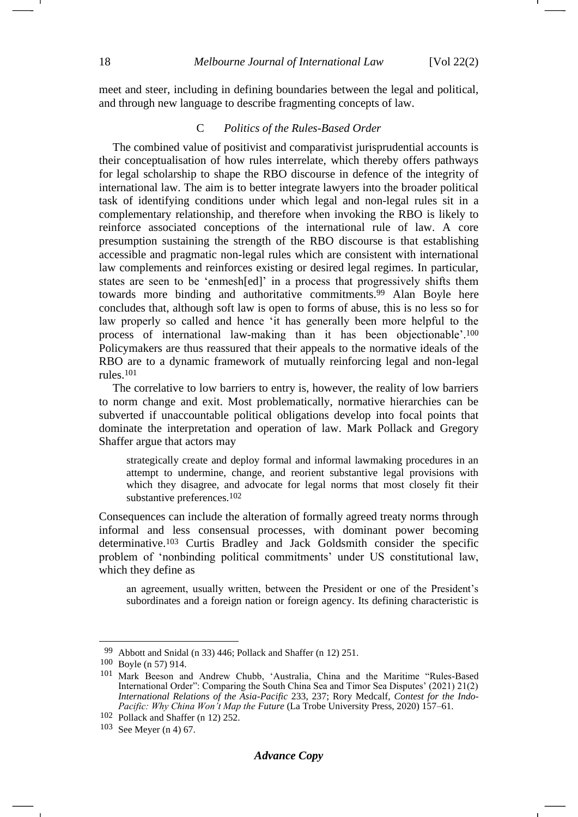meet and steer, including in defining boundaries between the legal and political, and through new language to describe fragmenting concepts of law.

### C *Politics of the Rules-Based Order*

The combined value of positivist and comparativist jurisprudential accounts is their conceptualisation of how rules interrelate, which thereby offers pathways for legal scholarship to shape the RBO discourse in defence of the integrity of international law. The aim is to better integrate lawyers into the broader political task of identifying conditions under which legal and non-legal rules sit in a complementary relationship, and therefore when invoking the RBO is likely to reinforce associated conceptions of the international rule of law. A core presumption sustaining the strength of the RBO discourse is that establishing accessible and pragmatic non-legal rules which are consistent with international law complements and reinforces existing or desired legal regimes. In particular, states are seen to be 'enmesh[ed]' in a process that progressively shifts them towards more binding and authoritative commitments.<sup>99</sup> Alan Boyle here concludes that, although soft law is open to forms of abuse, this is no less so for law properly so called and hence 'it has generally been more helpful to the process of international law-making than it has been objectionable'.<sup>100</sup> Policymakers are thus reassured that their appeals to the normative ideals of the RBO are to a dynamic framework of mutually reinforcing legal and non-legal rules.<sup>101</sup>

<span id="page-17-0"></span>The correlative to low barriers to entry is, however, the reality of low barriers to norm change and exit. Most problematically, normative hierarchies can be subverted if unaccountable political obligations develop into focal points that dominate the interpretation and operation of law. Mark Pollack and Gregory Shaffer argue that actors may

strategically create and deploy formal and informal lawmaking procedures in an attempt to undermine, change, and reorient substantive legal provisions with which they disagree, and advocate for legal norms that most closely fit their substantive preferences.102

Consequences can include the alteration of formally agreed treaty norms through informal and less consensual processes, with dominant power becoming determinative.<sup>103</sup> Curtis Bradley and Jack Goldsmith consider the specific problem of 'nonbinding political commitments' under US constitutional law, which they define as

an agreement, usually written, between the President or one of the President's subordinates and a foreign nation or foreign agency. Its defining characteristic is

<sup>99</sup> Abbott and Snidal (n [33\)](#page-7-2) 446; Pollack and Shaffer (n [12\)](#page-3-0) 251.

<sup>100</sup> Boyle (n [57\)](#page-10-0) 914.

<sup>101</sup> Mark Beeson and Andrew Chubb, 'Australia, China and the Maritime "Rules-Based International Order": Comparing the South China Sea and Timor Sea Disputes' (2021) 21(2) *International Relations of the Asia-Pacific* 233, 237; Rory Medcalf, *Contest for the Indo-Pacific: Why China Won't Map the Future* (La Trobe University Press, 2020) 157–61.

<sup>102</sup> Pollack and Shaffer (n [12\)](#page-3-0) 252.

<sup>103</sup> See Meyer (n [4\)](#page-1-0) 67.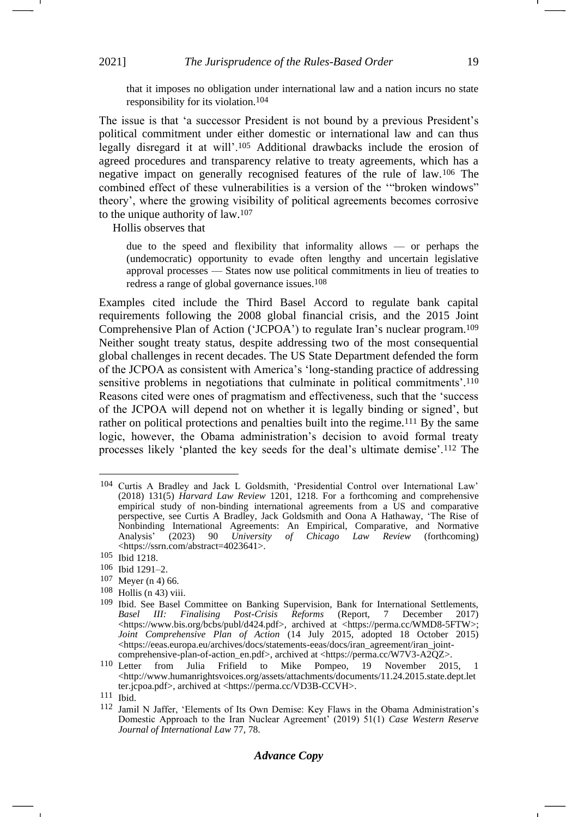that it imposes no obligation under international law and a nation incurs no state responsibility for its violation.104

The issue is that 'a successor President is not bound by a previous President's political commitment under either domestic or international law and can thus legally disregard it at will'.<sup>105</sup> Additional drawbacks include the erosion of agreed procedures and transparency relative to treaty agreements, which has a negative impact on generally recognised features of the rule of law.<sup>106</sup> The combined effect of these vulnerabilities is a version of the '"broken windows" theory', where the growing visibility of political agreements becomes corrosive to the unique authority of law.<sup>107</sup>

Hollis observes that

due to the speed and flexibility that informality allows — or perhaps the (undemocratic) opportunity to evade often lengthy and uncertain legislative approval processes — States now use political commitments in lieu of treaties to redress a range of global governance issues.108

Examples cited include the Third Basel Accord to regulate bank capital requirements following the 2008 global financial crisis, and the 2015 Joint Comprehensive Plan of Action ('JCPOA') to regulate Iran's nuclear program.<sup>109</sup> Neither sought treaty status, despite addressing two of the most consequential global challenges in recent decades. The US State Department defended the form of the JCPOA as consistent with America's 'long-standing practice of addressing sensitive problems in negotiations that culminate in political commitments'.<sup>110</sup> Reasons cited were ones of pragmatism and effectiveness, such that the 'success of the JCPOA will depend not on whether it is legally binding or signed', but rather on political protections and penalties built into the regime.<sup>111</sup> By the same logic, however, the Obama administration's decision to avoid formal treaty processes likely 'planted the key seeds for the deal's ultimate demise'.<sup>112</sup> The

 $108$  Hollis ([n 43\)](#page-8-0) viii.

-1

<sup>104</sup> Curtis A Bradley and Jack L Goldsmith, 'Presidential Control over International Law' (2018) 131(5) *Harvard Law Review* 1201, 1218. For a forthcoming and comprehensive empirical study of non-binding international agreements from a US and comparative perspective, see Curtis A Bradley, Jack Goldsmith and Oona A Hathaway, 'The Rise of Nonbinding International Agreements: An Empirical, Comparative, and Normative Analysis' (2023) 90 University of Chicago Law Review (forthcoming) Analysis' (2023) 90 *University of Chicago Law Review* (forthcoming) <https://ssrn.com/abstract=4023641>.

<sup>105</sup> Ibid 1218.

<sup>106</sup> Ibid 1291–2.

<sup>107</sup> Meyer (n [4\)](#page-1-0) 66.

<sup>109</sup> Ibid. See Basel Committee on Banking Supervision, Bank for International Settlements, *Basel III: Finalising Post-Crisis Reforms* (Report, 7 December 2017) <https://www.bis.org/bcbs/publ/d424.pdf>, archived at <https://perma.cc/WMD8-5FTW>; *Joint Comprehensive Plan of Action* (14 July 2015, adopted 18 October 2015) <https://eeas.europa.eu/archives/docs/statements-eeas/docs/iran\_agreement/iran\_joint-

comprehensive-plan-of-action\_en.pdf>, archived at <https://perma.cc/W7V3-A2QZ>.<br>110 I etter from Julia Frifield to Mike Pompeo, 19 November 201 from Julia Frifield to Mike Pompeo, 19 November 2015, 1 <http://www.humanrightsvoices.org/assets/attachments/documents/11.24.2015.state.dept.let ter.jcpoa.pdf>, archived at <https://perma.cc/VD3B-CCVH>.

<sup>111</sup> Ibid.

<sup>112</sup> Jamil N Jaffer, 'Elements of Its Own Demise: Key Flaws in the Obama Administration's Domestic Approach to the Iran Nuclear Agreement' (2019) 51(1) *Case Western Reserve Journal of International Law* 77, 78.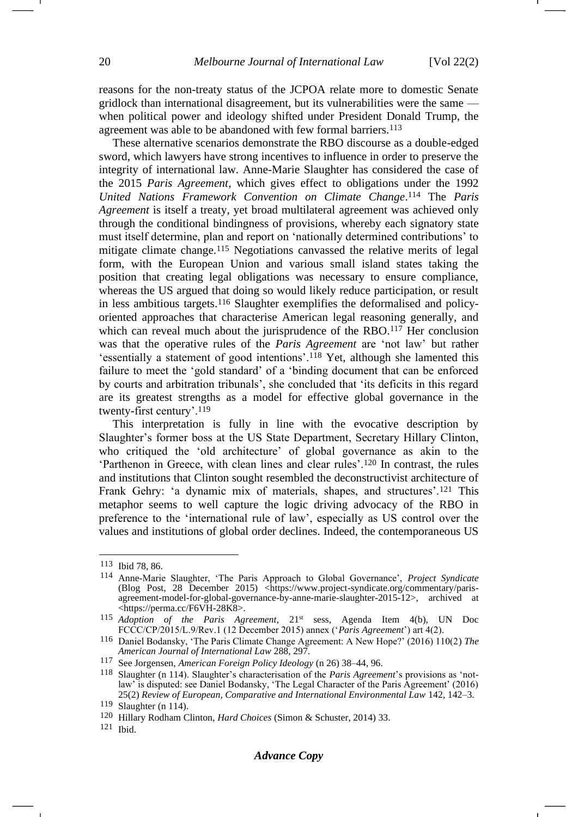reasons for the non-treaty status of the JCPOA relate more to domestic Senate gridlock than international disagreement, but its vulnerabilities were the same when political power and ideology shifted under President Donald Trump, the agreement was able to be abandoned with few formal barriers.<sup>113</sup>

<span id="page-19-0"></span>These alternative scenarios demonstrate the RBO discourse as a double-edged sword, which lawyers have strong incentives to influence in order to preserve the integrity of international law. Anne-Marie Slaughter has considered the case of the 2015 *Paris Agreement*, which gives effect to obligations under the 1992 *United Nations Framework Convention on Climate Change*. <sup>114</sup> The *Paris Agreement* is itself a treaty, yet broad multilateral agreement was achieved only through the conditional bindingness of provisions, whereby each signatory state must itself determine, plan and report on 'nationally determined contributions' to mitigate climate change.<sup>115</sup> Negotiations canvassed the relative merits of legal form, with the European Union and various small island states taking the position that creating legal obligations was necessary to ensure compliance, whereas the US argued that doing so would likely reduce participation, or result in less ambitious targets.<sup>116</sup> Slaughter exemplifies the deformalised and policyoriented approaches that characterise American legal reasoning generally, and which can reveal much about the jurisprudence of the RBO.<sup>117</sup> Her conclusion was that the operative rules of the *Paris Agreement* are 'not law' but rather 'essentially a statement of good intentions'.<sup>118</sup> Yet, although she lamented this failure to meet the 'gold standard' of a 'binding document that can be enforced by courts and arbitration tribunals', she concluded that 'its deficits in this regard are its greatest strengths as a model for effective global governance in the twenty-first century'.<sup>119</sup>

This interpretation is fully in line with the evocative description by Slaughter's former boss at the US State Department, Secretary Hillary Clinton, who critiqued the 'old architecture' of global governance as akin to the 'Parthenon in Greece, with clean lines and clear rules'.<sup>120</sup> In contrast, the rules and institutions that Clinton sought resembled the deconstructivist architecture of Frank Gehry: 'a dynamic mix of materials, shapes, and structures'.<sup>121</sup> This metaphor seems to well capture the logic driving advocacy of the RBO in preference to the 'international rule of law', especially as US control over the values and institutions of global order declines. Indeed, the contemporaneous US

<sup>113</sup> Ibid 78, 86.

<sup>114</sup> Anne-Marie Slaughter, 'The Paris Approach to Global Governance', *Project Syndicate* (Blog Post, 28 December 2015) <https://www.project-syndicate.org/commentary/parisagreement-model-for-global-governance-by-anne-marie-slaughter-2015-12>, archived at <https://perma.cc/F6VH-28K8>.

<sup>115</sup> *Adoption of the Paris Agreement*, 21<sup>st</sup> sess, Agenda Item 4(b), UN Doc FCCC/CP/2015/L.9/Rev.1 (12 December 2015) annex ('*Paris Agreement*') art 4(2).

<sup>116</sup> Daniel Bodansky, 'The Paris Climate Change Agreement: A New Hope?' (2016) 110(2) *The American Journal of International Law* 288, 297.

<sup>117</sup> See Jorgensen, *American Foreign Policy Ideology* (n [26\)](#page-5-0) 38–44, 96.

<sup>118</sup> Slaughter (n [114\)](#page-19-0). Slaughter's characterisation of the *Paris Agreement*'s provisions as 'notlaw' is disputed: see Daniel Bodansky, 'The Legal Character of the Paris Agreement' (2016) 25(2) *Review of European, Comparative and International Environmental Law* 142, 142–3.

<sup>119</sup> Slaughter (n [114\)](#page-19-0).

<sup>120</sup> Hillary Rodham Clinton, *Hard Choices* (Simon & Schuster, 2014) 33.

<sup>121</sup> Ibid.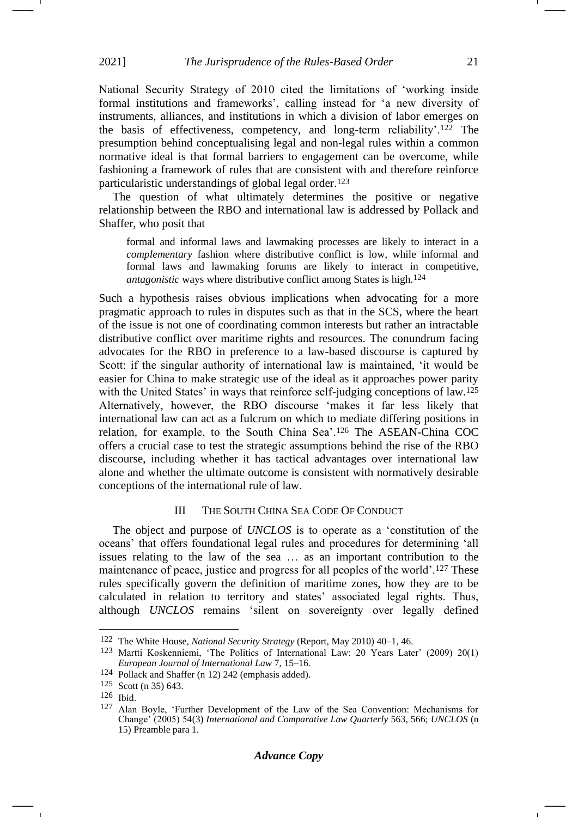National Security Strategy of 2010 cited the limitations of 'working inside formal institutions and frameworks', calling instead for 'a new diversity of instruments, alliances, and institutions in which a division of labor emerges on the basis of effectiveness, competency, and long-term reliability'.<sup>122</sup> The presumption behind conceptualising legal and non-legal rules within a common normative ideal is that formal barriers to engagement can be overcome, while fashioning a framework of rules that are consistent with and therefore reinforce particularistic understandings of global legal order.<sup>123</sup>

The question of what ultimately determines the positive or negative relationship between the RBO and international law is addressed by Pollack and Shaffer, who posit that

formal and informal laws and lawmaking processes are likely to interact in a *complementary* fashion where distributive conflict is low, while informal and formal laws and lawmaking forums are likely to interact in competitive, *antagonistic* ways where distributive conflict among States is high.<sup>124</sup>

Such a hypothesis raises obvious implications when advocating for a more pragmatic approach to rules in disputes such as that in the SCS, where the heart of the issue is not one of coordinating common interests but rather an intractable distributive conflict over maritime rights and resources. The conundrum facing advocates for the RBO in preference to a law-based discourse is captured by Scott: if the singular authority of international law is maintained, 'it would be easier for China to make strategic use of the ideal as it approaches power parity with the United States' in ways that reinforce self-judging conceptions of law.<sup>125</sup> Alternatively, however, the RBO discourse 'makes it far less likely that international law can act as a fulcrum on which to mediate differing positions in relation, for example, to the South China Sea'.<sup>126</sup> The ASEAN-China COC offers a crucial case to test the strategic assumptions behind the rise of the RBO discourse, including whether it has tactical advantages over international law alone and whether the ultimate outcome is consistent with normatively desirable conceptions of the international rule of law.

### <span id="page-20-0"></span>III THE SOUTH CHINA SEA CODE OF CONDUCT

The object and purpose of *UNCLOS* is to operate as a 'constitution of the oceans' that offers foundational legal rules and procedures for determining 'all issues relating to the law of the sea … as an important contribution to the maintenance of peace, justice and progress for all peoples of the world'.<sup>127</sup> These rules specifically govern the definition of maritime zones, how they are to be calculated in relation to territory and states' associated legal rights. Thus, although *UNCLOS* remains 'silent on sovereignty over legally defined

<sup>122</sup> The White House, *National Security Strategy* (Report, May 2010) 40–1, 46.

<sup>123</sup> Martti Koskenniemi, 'The Politics of International Law: 20 Years Later' (2009) 20(1) *European Journal of International Law* 7, 15–16.

<sup>124</sup> Pollack and Shaffer (n [12\)](#page-3-0) 242 (emphasis added).

<sup>125</sup> Scott (n [35\)](#page-7-1) 643.

<sup>126</sup> Ibid.

<sup>127</sup> Alan Boyle, 'Further Development of the Law of the Sea Convention: Mechanisms for Change' (2005) 54(3) *International and Comparative Law Quarterly* 563, 566; *UNCLOS* (n [15\)](#page-3-1) Preamble para 1.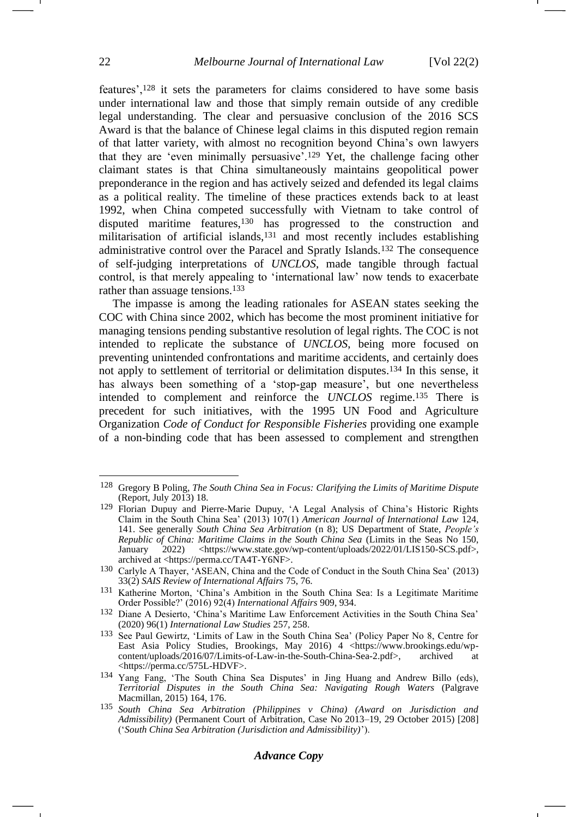features',<sup>128</sup> it sets the parameters for claims considered to have some basis under international law and those that simply remain outside of any credible legal understanding. The clear and persuasive conclusion of the 2016 SCS Award is that the balance of Chinese legal claims in this disputed region remain of that latter variety, with almost no recognition beyond China's own lawyers that they are 'even minimally persuasive'.<sup>129</sup> Yet, the challenge facing other claimant states is that China simultaneously maintains geopolitical power preponderance in the region and has actively seized and defended its legal claims as a political reality. The timeline of these practices extends back to at least 1992, when China competed successfully with Vietnam to take control of disputed maritime features,<sup>130</sup> has progressed to the construction and militarisation of artificial islands,<sup>131</sup> and most recently includes establishing administrative control over the Paracel and Spratly Islands.<sup>132</sup> The consequence of self-judging interpretations of *UNCLOS*, made tangible through factual control, is that merely appealing to 'international law' now tends to exacerbate rather than assuage tensions.<sup>133</sup>

<span id="page-21-0"></span>The impasse is among the leading rationales for ASEAN states seeking the COC with China since 2002, which has become the most prominent initiative for managing tensions pending substantive resolution of legal rights. The COC is not intended to replicate the substance of *UNCLOS*, being more focused on preventing unintended confrontations and maritime accidents, and certainly does not apply to settlement of territorial or delimitation disputes.<sup>134</sup> In this sense, it has always been something of a 'stop-gap measure', but one nevertheless intended to complement and reinforce the *UNCLOS* regime.<sup>135</sup> There is precedent for such initiatives, with the 1995 UN Food and Agriculture Organization *Code of Conduct for Responsible Fisheries* providing one example of a non-binding code that has been assessed to complement and strengthen

#### *Advance Copy*

<span id="page-21-1"></span><sup>128</sup> Gregory B Poling, *The South China Sea in Focus: Clarifying the Limits of Maritime Dispute* (Report, July 2013) 18.

<sup>129</sup> Florian Dupuy and Pierre-Marie Dupuy, 'A Legal Analysis of China's Historic Rights Claim in the South China Sea' (2013) 107(1) *American Journal of International Law* 124, 141. See generally *South China Sea Arbitration* (n [8\)](#page-2-1); US Department of State, *People's Republic of China: Maritime Claims in the South China Sea* (Limits in the Seas No 150, January 2022) <https://www.state.gov/wp-content/uploads/2022/01/LIS150-SCS.pdf>, archived at <https://perma.cc/TA4T-Y6NF>.

<sup>130</sup> Carlyle A Thayer, 'ASEAN, China and the Code of Conduct in the South China Sea' (2013) 33(2) *SAIS Review of International Affairs* 75, 76.

<sup>131</sup> Katherine Morton, 'China's Ambition in the South China Sea: Is a Legitimate Maritime Order Possible?' (2016) 92(4) *International Affairs* 909, 934.

<sup>132</sup> Diane A Desierto, 'China's Maritime Law Enforcement Activities in the South China Sea' (2020) 96(1) *International Law Studies* 257, 258.

<sup>133</sup> See Paul Gewirtz, 'Limits of Law in the South China Sea' (Policy Paper No 8, Centre for East Asia Policy Studies, Brookings, May 2016) 4 <https://www.brookings.edu/wp-content/uploads/2016/07/Limits-of-Law-in-the-South-China-Sea-2.pdf>. archived at content/uploads/2016/07/Limits-of-Law-in-the-South-China-Sea-2.pdf>, archived at <https://perma.cc/575L-HDVF>.

<sup>134</sup> Yang Fang, 'The South China Sea Disputes' in Jing Huang and Andrew Billo (eds), *Territorial Disputes in the South China Sea: Navigating Rough Waters* (Palgrave Macmillan, 2015) 164, 176.

<sup>135</sup> *South China Sea Arbitration (Philippines v China) (Award on Jurisdiction and Admissibility)* (Permanent Court of Arbitration, Case No 2013–19, 29 October 2015) [208] ('*South China Sea Arbitration (Jurisdiction and Admissibility)*').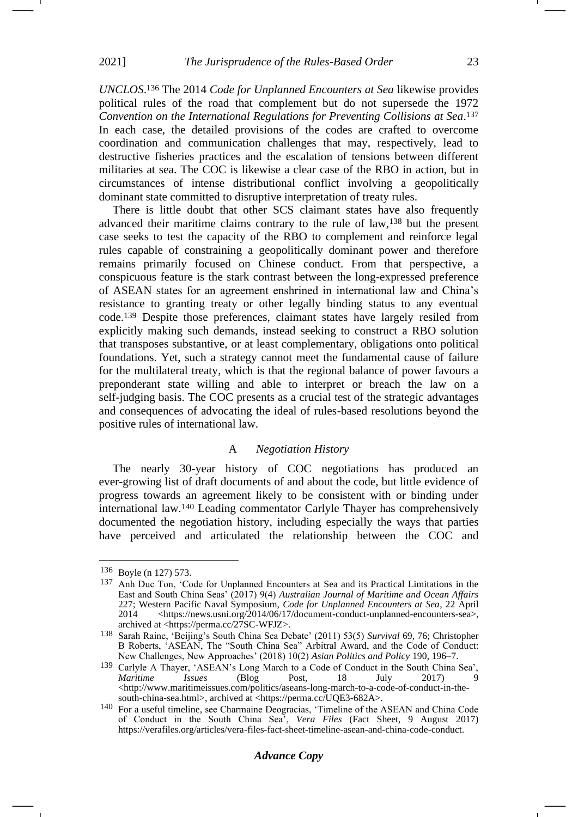*UNCLOS*. <sup>136</sup> The 2014 *Code for Unplanned Encounters at Sea* likewise provides political rules of the road that complement but do not supersede the 1972 *Convention on the International Regulations for Preventing Collisions at Sea*. 137 In each case, the detailed provisions of the codes are crafted to overcome coordination and communication challenges that may, respectively, lead to destructive fisheries practices and the escalation of tensions between different militaries at sea. The COC is likewise a clear case of the RBO in action, but in circumstances of intense distributional conflict involving a geopolitically dominant state committed to disruptive interpretation of treaty rules.

There is little doubt that other SCS claimant states have also frequently advanced their maritime claims contrary to the rule of law,<sup>138</sup> but the present case seeks to test the capacity of the RBO to complement and reinforce legal rules capable of constraining a geopolitically dominant power and therefore remains primarily focused on Chinese conduct. From that perspective, a conspicuous feature is the stark contrast between the long-expressed preference of ASEAN states for an agreement enshrined in international law and China's resistance to granting treaty or other legally binding status to any eventual code.<sup>139</sup> Despite those preferences, claimant states have largely resiled from explicitly making such demands, instead seeking to construct a RBO solution that transposes substantive, or at least complementary, obligations onto political foundations. Yet, such a strategy cannot meet the fundamental cause of failure for the multilateral treaty, which is that the regional balance of power favours a preponderant state willing and able to interpret or breach the law on a self-judging basis. The COC presents as a crucial test of the strategic advantages and consequences of advocating the ideal of rules-based resolutions beyond the positive rules of international law.

#### A *Negotiation History*

The nearly 30-year history of COC negotiations has produced an ever-growing list of draft documents of and about the code, but little evidence of progress towards an agreement likely to be consistent with or binding under international law.<sup>140</sup> Leading commentator Carlyle Thayer has comprehensively documented the negotiation history, including especially the ways that parties have perceived and articulated the relationship between the COC and

<sup>136</sup> Boyle (n [127\)](#page-20-0) 573.

<sup>137</sup> Anh Duc Ton, 'Code for Unplanned Encounters at Sea and its Practical Limitations in the East and South China Seas' (2017) 9(4) *Australian Journal of Maritime and Ocean Affairs* 227; Western Pacific Naval Symposium, *Code for Unplanned Encounters at Sea*, 22 April 2014 <https://news.usni.org/2014/06/17/document-conduct-unplanned-encounters-sea>, archived at <https://perma.cc/27SC-WFJZ>.

<sup>138</sup> Sarah Raine, 'Beijing's South China Sea Debate' (2011) 53(5) *Survival* 69, 76; Christopher B Roberts, 'ASEAN, The "South China Sea" Arbitral Award, and the Code of Conduct: New Challenges, New Approaches' (2018) 10(2) *Asian Politics and Policy* 190, 196–7.

<sup>139</sup> Carlyle A Thayer, 'ASEAN's Long March to a Code of Conduct in the South China Sea', *Maritime Issues* (Blog Post, 18 July 2017) 9 <http://www.maritimeissues.com/politics/aseans-long-march-to-a-code-of-conduct-in-thesouth-china-sea.html>, archived at <https://perma.cc/UQE3-682A>.

<sup>140</sup> For a useful timeline, see Charmaine Deogracias, 'Timeline of the ASEAN and China Code of Conduct in the South China Sea', *Vera Files* (Fact Sheet, 9 August 2017) [https://verafiles.org/articles/vera-files-fact-sheet-timeline-asean-and-china-code-conduct.](https://verafiles.org/articles/vera-files-fact-sheet-timeline-asean-and-china-code-conduct)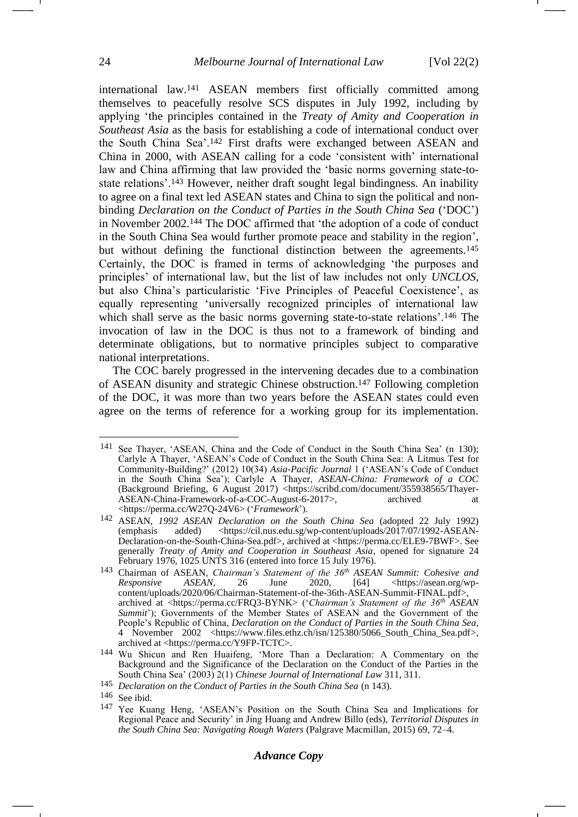<span id="page-23-1"></span><span id="page-23-0"></span>international law.<sup>141</sup> ASEAN members first officially committed among themselves to peacefully resolve SCS disputes in July 1992, including by applying 'the principles contained in the *Treaty of Amity and Cooperation in Southeast Asia* as the basis for establishing a code of international conduct over the South China Sea'.<sup>142</sup> First drafts were exchanged between ASEAN and China in 2000, with ASEAN calling for a code 'consistent with' international law and China affirming that law provided the 'basic norms governing state-tostate relations'.<sup>143</sup> However, neither draft sought legal bindingness. An inability to agree on a final text led ASEAN states and China to sign the political and nonbinding *Declaration on the Conduct of Parties in the South China Sea* ('DOC') in November 2002.<sup>144</sup> The DOC affirmed that 'the adoption of a code of conduct in the South China Sea would further promote peace and stability in the region', but without defining the functional distinction between the agreements.<sup>145</sup> Certainly, the DOC is framed in terms of acknowledging 'the purposes and principles' of international law, but the list of law includes not only *UNCLOS*, but also China's particularistic 'Five Principles of Peaceful Coexistence', as equally representing 'universally recognized principles of international law which shall serve as the basic norms governing state-to-state relations'.<sup>146</sup> The invocation of law in the DOC is thus not to a framework of binding and determinate obligations, but to normative principles subject to comparative national interpretations.

The COC barely progressed in the intervening decades due to a combination of ASEAN disunity and strategic Chinese obstruction.<sup>147</sup> Following completion of the DOC, it was more than two years before the ASEAN states could even agree on the terms of reference for a working group for its implementation.

<sup>141</sup> See Thayer, 'ASEAN, China and the Code of Conduct in the South China Sea' (n [130\)](#page-21-0); Carlyle A Thayer, 'ASEAN's Code of Conduct in the South China Sea: A Litmus Test for Community-Building?' (2012) 10(34) *Asia-Pacific Journal* 1 ('ASEAN's Code of Conduct in the South China Sea'); Carlyle A Thayer, *ASEAN-China: Framework of a COC* (Background Briefing, 6 August 2017) <https://scribd.com/document/355938565/Thayer-ASEAN-China-Framework-of-a-COC-August-6-2017>, archived at <https://perma.cc/W27Q-24V6> ('*Framework*').

<sup>142</sup> ASEAN, *1992 ASEAN Declaration on the South China Sea* (adopted 22 July 1992)  $\langle$ https://cil.nus.edu.sg/wp-content/uploads/2017/07/1992-ASEAN-Declaration-on-the-South-China-Sea.pdf>, archived at <https://perma.cc/ELE9-7BWF>. See generally *Treaty of Amity and Cooperation in Southeast Asia*, opened for signature 24 February 1976, 1025 UNTS 316 (entered into force 15 July 1976).

<sup>143</sup> Chairman of ASEAN, *Chairman's Statement of the 36th ASEAN Summit: Cohesive and Responsive ASEAN*, 26 June 2020, [64] <https://asean.org/wpcontent/uploads/2020/06/Chairman-Statement-of-the-36th-ASEAN-Summit-FINAL.pdf>, archived at <https://perma.cc/FRQ3-BYNK> ('*Chairman's Statement of the 36th ASEAN Summit*'); Governments of the Member States of ASEAN and the Government of the People's Republic of China, *Declaration on the Conduct of Parties in the South China Sea*, 4 November 2002 <https://www.files.ethz.ch/isn/125380/5066\_South\_China\_Sea.pdf>, archived at <https://perma.cc/Y9FP-TCTC>.

<sup>144</sup> Wu Shicun and Ren Huaifeng, 'More Than a Declaration: A Commentary on the Background and the Significance of the Declaration on the Conduct of the Parties in the South China Sea' (2003) 2(1) *Chinese Journal of International Law* 311, 311.

<sup>145</sup> *Declaration on the Conduct of Parties in the South China Sea* (n [143\)](#page-23-0).

<sup>146</sup> See ibid.

<sup>147</sup> Yee Kuang Heng, 'ASEAN's Position on the South China Sea and Implications for Regional Peace and Security' in Jing Huang and Andrew Billo (eds), *Territorial Disputes in the South China Sea: Navigating Rough Waters* (Palgrave Macmillan, 2015) 69, 72–4.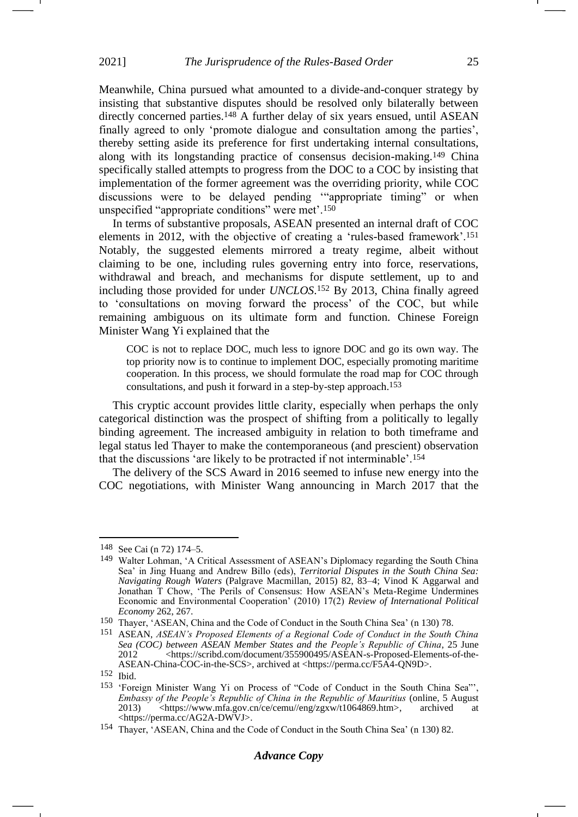Meanwhile, China pursued what amounted to a divide-and-conquer strategy by insisting that substantive disputes should be resolved only bilaterally between directly concerned parties.<sup>148</sup> A further delay of six years ensued, until ASEAN finally agreed to only 'promote dialogue and consultation among the parties', thereby setting aside its preference for first undertaking internal consultations, along with its longstanding practice of consensus decision-making.<sup>149</sup> China specifically stalled attempts to progress from the DOC to a COC by insisting that implementation of the former agreement was the overriding priority, while COC discussions were to be delayed pending '"appropriate timing" or when unspecified "appropriate conditions" were met'.<sup>150</sup>

In terms of substantive proposals, ASEAN presented an internal draft of COC elements in 2012, with the objective of creating a 'rules-based framework'.<sup>151</sup> Notably, the suggested elements mirrored a treaty regime, albeit without claiming to be one, including rules governing entry into force, reservations, withdrawal and breach, and mechanisms for dispute settlement, up to and including those provided for under *UNCLOS*. <sup>152</sup> By 2013, China finally agreed to 'consultations on moving forward the process' of the COC, but while remaining ambiguous on its ultimate form and function. Chinese Foreign Minister Wang Yi explained that the

COC is not to replace DOC, much less to ignore DOC and go its own way. The top priority now is to continue to implement DOC, especially promoting maritime cooperation. In this process, we should formulate the road map for COC through consultations, and push it forward in a step-by-step approach.153

This cryptic account provides little clarity, especially when perhaps the only categorical distinction was the prospect of shifting from a politically to legally binding agreement. The increased ambiguity in relation to both timeframe and legal status led Thayer to make the contemporaneous (and prescient) observation that the discussions 'are likely to be protracted if not interminable'.<sup>154</sup>

The delivery of the SCS Award in 2016 seemed to infuse new energy into the COC negotiations, with Minister Wang announcing in March 2017 that the

<sup>148</sup> See Cai (n [72\)](#page-13-0) 174–5.

<sup>149</sup> Walter Lohman, 'A Critical Assessment of ASEAN's Diplomacy regarding the South China Sea' in Jing Huang and Andrew Billo (eds), *Territorial Disputes in the South China Sea: Navigating Rough Waters* (Palgrave Macmillan, 2015) 82, 83–4; Vinod K Aggarwal and Jonathan T Chow, 'The Perils of Consensus: How ASEAN's Meta-Regime Undermines Economic and Environmental Cooperation' (2010) 17(2) *Review of International Political Economy* 262, 267.

<sup>150</sup> Thayer, 'ASEAN, China and the Code of Conduct in the South China Sea' (n [130\)](#page-21-0) 78.

<sup>151</sup> ASEAN, *ASEAN's Proposed Elements of a Regional Code of Conduct in the South China Sea (COC) between ASEAN Member States and the People's Republic of China*, 25 June 2012 <https://scribd.com/document/355900495/ASEAN-s-Proposed-Elements-of-the-ASEAN-China-COC-in-the-SCS>, archived at <https://perma.cc/F5A4-QN9D>.

<sup>152</sup> Ibid.

<sup>153</sup> 'Foreign Minister Wang Yi on Process of "Code of Conduct in the South China Sea"', *Embassy of the People's Republic of China in the Republic of Mauritius* (online, 5 August 2013) <br>
2013) <https://www.mfa.gov.cn/ce/cemu//eng/zgxw/t1064869.htm>, archived at 2013) <https://www.mfa.gov.cn/ce/cemu//eng/zgxw/t1064869.htm>, <https://perma.cc/AG2A-DWVJ>.

<sup>154</sup> Thayer, 'ASEAN, China and the Code of Conduct in the South China Sea' (n [130\)](#page-21-0) 82.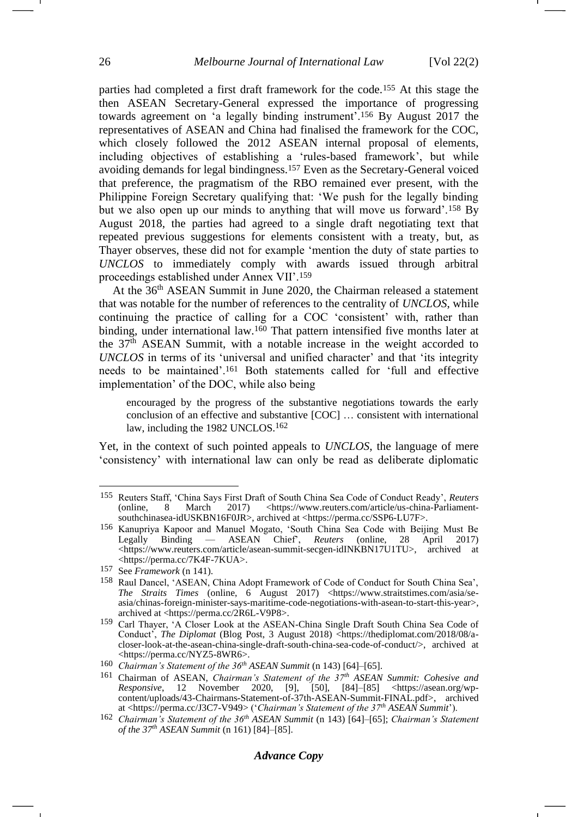parties had completed a first draft framework for the code.<sup>155</sup> At this stage the then ASEAN Secretary-General expressed the importance of progressing towards agreement on 'a legally binding instrument'.<sup>156</sup> By August 2017 the representatives of ASEAN and China had finalised the framework for the COC, which closely followed the 2012 ASEAN internal proposal of elements, including objectives of establishing a 'rules-based framework', but while avoiding demands for legal bindingness.<sup>157</sup> Even as the Secretary-General voiced that preference, the pragmatism of the RBO remained ever present, with the Philippine Foreign Secretary qualifying that: 'We push for the legally binding but we also open up our minds to anything that will move us forward'.<sup>158</sup> By August 2018, the parties had agreed to a single draft negotiating text that repeated previous suggestions for elements consistent with a treaty, but, as Thayer observes, these did not for example 'mention the duty of state parties to *UNCLOS* to immediately comply with awards issued through arbitral proceedings established under Annex VII'.<sup>159</sup>

At the 36<sup>th</sup> ASEAN Summit in June 2020, the Chairman released a statement that was notable for the number of references to the centrality of *UNCLOS*, while continuing the practice of calling for a COC 'consistent' with, rather than binding, under international law.<sup>160</sup> That pattern intensified five months later at the  $37<sup>th</sup>$  ASEAN Summit, with a notable increase in the weight accorded to *UNCLOS* in terms of its 'universal and unified character' and that 'its integrity needs to be maintained'.<sup>161</sup> Both statements called for 'full and effective implementation' of the DOC, while also being

<span id="page-25-0"></span>encouraged by the progress of the substantive negotiations towards the early conclusion of an effective and substantive [COC] … consistent with international law, including the 1982 UNCLOS.<sup>162</sup>

Yet, in the context of such pointed appeals to *UNCLOS*, the language of mere 'consistency' with international law can only be read as deliberate diplomatic

<sup>155</sup> Reuters Staff, 'China Says First Draft of South China Sea Code of Conduct Ready', *Reuters* 2017) <https://www.reuters.com/article/us-china-Parliamentsouthchinasea-idUSKBN16F0JR>, archived at <https://perma.cc/SSP6-LU7F>.

<sup>156</sup> Kanupriya Kapoor and Manuel Mogato, 'South China Sea Code with Beijing Must Be Legally Binding — ASEAN Chief', *Reuters* (online, 28 April 2017) <https://www.reuters.com/article/asean-summit-secgen-idINKBN17U1TU>, archived at <https://perma.cc/7K4F-7KUA>.

<sup>157</sup> See *Framework* (n [141\)](#page-23-1).

<sup>158</sup> Raul Dancel, 'ASEAN, China Adopt Framework of Code of Conduct for South China Sea', *The Straits Times* (online, 6 August 2017) <https://www.straitstimes.com/asia/seasia/chinas-foreign-minister-says-maritime-code-negotiations-with-asean-to-start-this-year>, archived at <https://perma.cc/2R6L-V9P8>.

<sup>159</sup> Carl Thayer, 'A Closer Look at the ASEAN-China Single Draft South China Sea Code of Conduct<sup>'</sup>, *The Diplomat* (Blog Post, 3 August 2018) <https://thediplomat.com/2018/08/acloser-look-at-the-asean-china-single-draft-south-china-sea-code-of-conduct/>, archived at <https://perma.cc/NYZ5-8WR6>.

<sup>160</sup> *Chairman's Statement of the 36th ASEAN Summit* ([n 143\)](#page-23-0) [64]–[65].

<sup>161</sup> Chairman of ASEAN, *Chairman's Statement of the 37th ASEAN Summit: Cohesive and Responsive*, 12 November 2020, [9], [50], [84]–[85] <https://asean.org/wpcontent/uploads/43-Chairmans-Statement-of-37th-ASEAN-Summit-FINAL.pdf>, archived at <https://perma.cc/J3C7-V949> ('*Chairman's Statement of the 37th ASEAN Summit*').

<sup>162</sup> *Chairman's Statement of the 36th ASEAN Summit* (n [143\)](#page-23-0) [64]–[65]; *Chairman's Statement of the 37th ASEAN Summit* (n [161\)](#page-25-0) [84]–[85].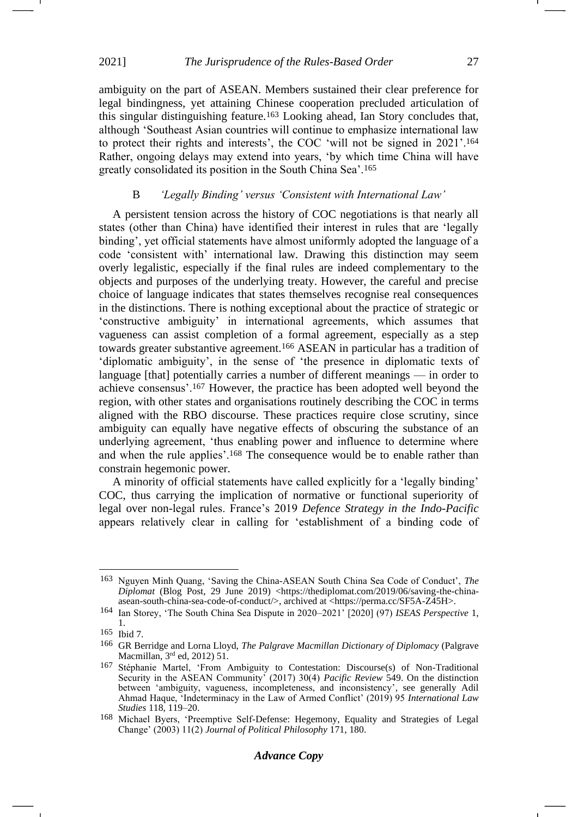ambiguity on the part of ASEAN. Members sustained their clear preference for legal bindingness, yet attaining Chinese cooperation precluded articulation of this singular distinguishing feature.<sup>163</sup> Looking ahead, Ian Story concludes that, although 'Southeast Asian countries will continue to emphasize international law to protect their rights and interests', the COC 'will not be signed in 2021'.<sup>164</sup> Rather, ongoing delays may extend into years, 'by which time China will have greatly consolidated its position in the South China Sea'.<sup>165</sup>

## B *'Legally Binding' versus 'Consistent with International Law'*

A persistent tension across the history of COC negotiations is that nearly all states (other than China) have identified their interest in rules that are 'legally binding', yet official statements have almost uniformly adopted the language of a code 'consistent with' international law. Drawing this distinction may seem overly legalistic, especially if the final rules are indeed complementary to the objects and purposes of the underlying treaty. However, the careful and precise choice of language indicates that states themselves recognise real consequences in the distinctions. There is nothing exceptional about the practice of strategic or 'constructive ambiguity' in international agreements, which assumes that vagueness can assist completion of a formal agreement, especially as a step towards greater substantive agreement.<sup>166</sup> ASEAN in particular has a tradition of 'diplomatic ambiguity', in the sense of 'the presence in diplomatic texts of language [that] potentially carries a number of different meanings — in order to achieve consensus'.<sup>167</sup> However, the practice has been adopted well beyond the region, with other states and organisations routinely describing the COC in terms aligned with the RBO discourse. These practices require close scrutiny, since ambiguity can equally have negative effects of obscuring the substance of an underlying agreement, 'thus enabling power and influence to determine where and when the rule applies'.<sup>168</sup> The consequence would be to enable rather than constrain hegemonic power.

A minority of official statements have called explicitly for a 'legally binding' COC, thus carrying the implication of normative or functional superiority of legal over non-legal rules. France's 2019 *Defence Strategy in the Indo-Pacific* appears relatively clear in calling for 'establishment of a binding code of

<sup>163</sup> Nguyen Minh Quang, 'Saving the China-ASEAN South China Sea Code of Conduct', *The Diplomat* (Blog Post, 29 June 2019) <https://thediplomat.com/2019/06/saving-the-chinaasean-south-china-sea-code-of-conduct/>, archived at <https://perma.cc/SF5A-Z45H>.

<sup>164</sup> Ian Storey, 'The South China Sea Dispute in 2020–2021' [2020] (97) *ISEAS Perspective* 1, 1.

<sup>165</sup> Ibid 7.

<sup>166</sup> GR Berridge and Lorna Lloyd, *The Palgrave Macmillan Dictionary of Diplomacy* (Palgrave Macmillan, 3rd ed, 2012) 51.

<sup>167</sup> Stéphanie Martel, 'From Ambiguity to Contestation: Discourse(s) of Non-Traditional Security in the ASEAN Community' (2017) 30(4) *Pacific Review* 549. On the distinction between 'ambiguity, vagueness, incompleteness, and inconsistency', see generally Adil Ahmad Haque, 'Indeterminacy in the Law of Armed Conflict' (2019) 95 *International Law Studies* 118, 119–20.

<sup>168</sup> Michael Byers, 'Preemptive Self-Defense: Hegemony, Equality and Strategies of Legal Change' (2003) 11(2) *Journal of Political Philosophy* 171, 180.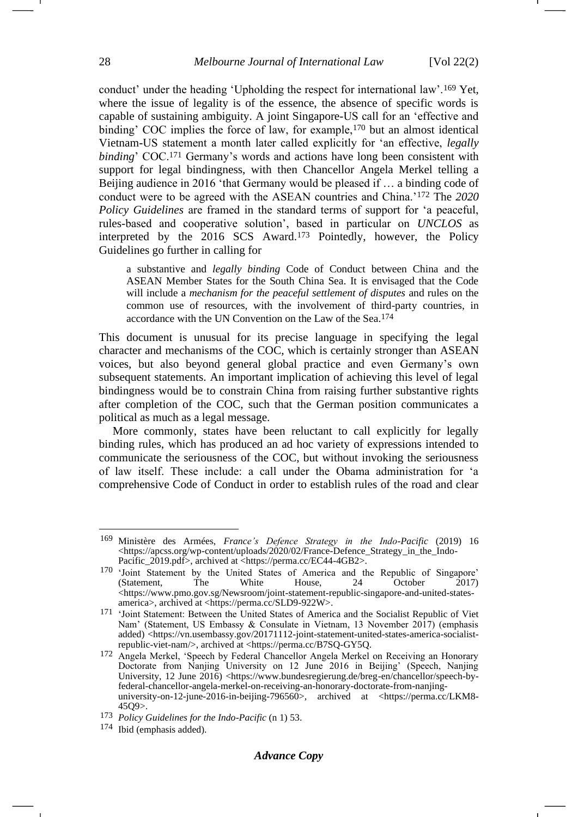conduct' under the heading 'Upholding the respect for international law'.<sup>169</sup> Yet, where the issue of legality is of the essence, the absence of specific words is capable of sustaining ambiguity. A joint Singapore-US call for an 'effective and binding' COC implies the force of law, for example,<sup>170</sup> but an almost identical Vietnam-US statement a month later called explicitly for 'an effective, *legally binding*' COC.<sup>171</sup> Germany's words and actions have long been consistent with support for legal bindingness, with then Chancellor Angela Merkel telling a Beijing audience in 2016 'that Germany would be pleased if … a binding code of conduct were to be agreed with the ASEAN countries and China.'<sup>172</sup> The *2020 Policy Guidelines* are framed in the standard terms of support for 'a peaceful, rules-based and cooperative solution', based in particular on *UNCLOS* as interpreted by the 2016 SCS Award.<sup>173</sup> Pointedly, however, the Policy Guidelines go further in calling for

a substantive and *legally binding* Code of Conduct between China and the ASEAN Member States for the South China Sea. It is envisaged that the Code will include a *mechanism for the peaceful settlement of disputes* and rules on the common use of resources, with the involvement of third-party countries, in accordance with the UN Convention on the Law of the Sea.174

This document is unusual for its precise language in specifying the legal character and mechanisms of the COC, which is certainly stronger than ASEAN voices, but also beyond general global practice and even Germany's own subsequent statements. An important implication of achieving this level of legal bindingness would be to constrain China from raising further substantive rights after completion of the COC, such that the German position communicates a political as much as a legal message.

More commonly, states have been reluctant to call explicitly for legally binding rules, which has produced an ad hoc variety of expressions intended to communicate the seriousness of the COC, but without invoking the seriousness of law itself. These include: a call under the Obama administration for 'a comprehensive Code of Conduct in order to establish rules of the road and clear

#### *Advance Copy*

<sup>169</sup> Ministère des Armées, *France's Defence Strategy in the Indo-Pacific* (2019) 16 <https://apcss.org/wp-content/uploads/2020/02/France-Defence\_Strategy\_in\_the\_Indo-Pacific\_2019.pdf>, archived at <https://perma.cc/EC44-4GB2>.

<sup>&</sup>lt;sup>170</sup> 'Joint Statement by the United States of America and the Republic of Singapore'<br>
(Statement, The White House, 24 October 2017) (Statement, The White House, 24 October 2017) <https://www.pmo.gov.sg/Newsroom/joint-statement-republic-singapore-and-united-statesamerica>, archived at <https://perma.cc/SLD9-922W>.

<sup>171 &#</sup>x27;Joint Statement: Between the United States of America and the Socialist Republic of Viet Nam' (Statement, US Embassy & Consulate in Vietnam, 13 November 2017) (emphasis added) <https://vn.usembassy.gov/20171112-joint-statement-united-states-america-socialistrepublic-viet-nam/>, archived at <https://perma.cc/B7SQ-GY5Q.

<sup>172</sup> Angela Merkel, 'Speech by Federal Chancellor Angela Merkel on Receiving an Honorary Doctorate from Nanjing University on 12 June 2016 in Beijing' (Speech, Nanjing University, 12 June 2016) <https://www.bundesregierung.de/breg-en/chancellor/speech-byfederal-chancellor-angela-merkel-on-receiving-an-honorary-doctorate-from-nanjinguniversity-on-12-june-2016-in-beijing-796560>, archived at <https://perma.cc/LKM8-45Q9>.

<sup>173</sup> *Policy Guidelines for the Indo-Pacific* (n [1\)](#page-1-2) 53.

<sup>174</sup> Ibid (emphasis added).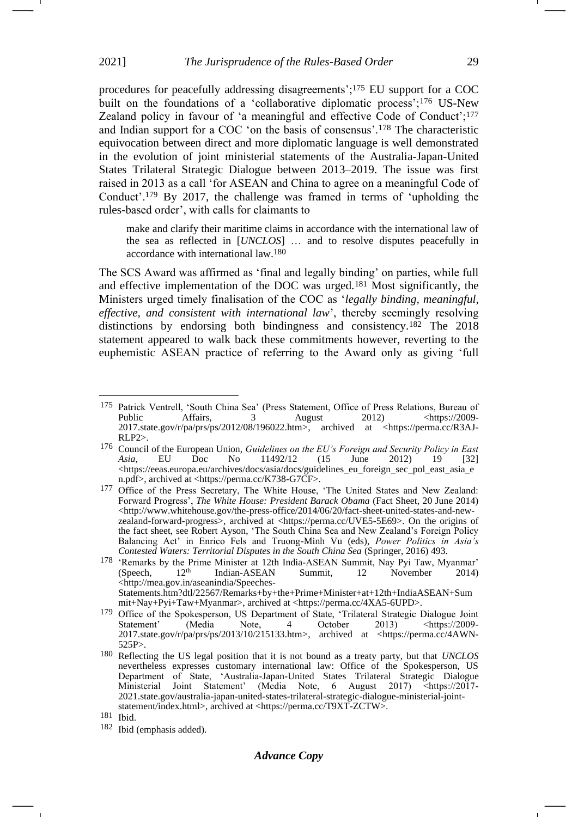procedures for peacefully addressing disagreements';<sup>175</sup> EU support for a COC built on the foundations of a 'collaborative diplomatic process';<sup>176</sup> US-New Zealand policy in favour of 'a meaningful and effective Code of Conduct';<sup>177</sup> and Indian support for a COC 'on the basis of consensus'.<sup>178</sup> The characteristic equivocation between direct and more diplomatic language is well demonstrated in the evolution of joint ministerial statements of the Australia-Japan-United States Trilateral Strategic Dialogue between 2013–2019. The issue was first raised in 2013 as a call 'for ASEAN and China to agree on a meaningful Code of Conduct'.<sup>179</sup> By 2017, the challenge was framed in terms of 'upholding the rules-based order', with calls for claimants to

make and clarify their maritime claims in accordance with the international law of the sea as reflected in [*UNCLOS*] … and to resolve disputes peacefully in accordance with international law.180

The SCS Award was affirmed as 'final and legally binding' on parties, while full and effective implementation of the DOC was urged.<sup>181</sup> Most significantly, the Ministers urged timely finalisation of the COC as '*legally binding, meaningful, effective, and consistent with international law*', thereby seemingly resolving distinctions by endorsing both bindingness and consistency.<sup>182</sup> The 2018 statement appeared to walk back these commitments however, reverting to the euphemistic ASEAN practice of referring to the Award only as giving 'full -1

<sup>&</sup>lt;sup>175</sup> Patrick Ventrell, 'South China Sea' (Press Statement, Office of Press Relations, Bureau of Public Affairs, 3 August 2012) <https://2009- $\langle \frac{https://2009-}{https://2009-} \rangle$ 2017.state.gov/r/pa/prs/ps/2012/08/196022.htm>, archived at <https://perma.cc/R3AJ-RLP2>.

<sup>176</sup> Council of the European Union, *Guidelines on the EU's Foreign and Security Policy in East Asia*, EU Doc No 11492/12 (15 June 2012) 19 [32] <https://eeas.europa.eu/archives/docs/asia/docs/guidelines\_eu\_foreign\_sec\_pol\_east\_asia\_e n.pdf>, archived at <https://perma.cc/K738-G7CF>.

<sup>&</sup>lt;sup>177</sup> Office of the Press Secretary, The White House, 'The United States and New Zealand: Forward Progress', *The White House: President Barack Obama* (Fact Sheet, 20 June 2014)  $\langle$ http://www.whitehouse.gov/the-press-office/2014/06/20/fact-sheet-united-states-and-newzealand-forward-progress>, archived at <https://perma.cc/UVE5-5E69>. On the origins of the fact sheet, see Robert Ayson, 'The South China Sea and New Zealand's Foreign Policy Balancing Act' in Enrico Fels and Truong-Minh Vu (eds), *Power Politics in Asia's Contested Waters: Territorial Disputes in the South China Sea* (Springer, 2016) 493.

<sup>&</sup>lt;sup>178</sup> 'Remarks by the Prime Minister at 12th India-ASEAN Summit, Nay Pyi Taw, Myanmar' (Speech,  $12<sup>th</sup>$  Indian-ASEAN Summit, 12 November 2014) Indian-ASEAN <http://mea.gov.in/aseanindia/Speeches-Statements.htm?dtl/22567/Remarks+by+the+Prime+Minister+at+12th+IndiaASEAN+Sum

mit+Nay+Pyi+Taw+Myanmar>, archived at <https://perma.cc/4XA5-6UPD>.

<sup>&</sup>lt;sup>179</sup> Office of the Spokesperson, US Department of State, 'Trilateral Strategic Dialogue Joint Statement' (Media Note, 4 October 2013) <https://2009-Statement' (Media Note, 4 October 2013) <https://2009-2017.state.gov/r/pa/prs/ps/2013/10/215133.htm>, archived at <https://perma.cc/4AWN-525P>.

<sup>180</sup> Reflecting the US legal position that it is not bound as a treaty party, but that *UNCLOS* nevertheless expresses customary international law: Office of the Spokesperson, US Department of State, 'Australia-Japan-United States Trilateral Strategic Dialogue Ministerial Joint Statement' (Media Note, 6 August 2017) <https://2017- 2021.state.gov/australia-japan-united-states-trilateral-strategic-dialogue-ministerial-jointstatement/index.html>, archived at <https://perma.cc/T9XT-ZCTW>.

<sup>181</sup> Ibid.

<sup>182</sup> Ibid (emphasis added).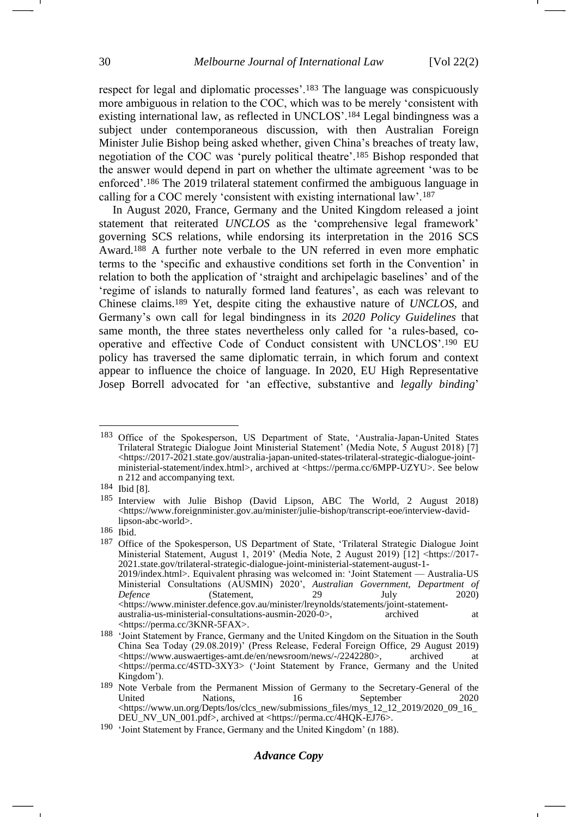respect for legal and diplomatic processes'.<sup>183</sup> The language was conspicuously more ambiguous in relation to the COC, which was to be merely 'consistent with existing international law, as reflected in UNCLOS'.<sup>184</sup> Legal bindingness was a subject under contemporaneous discussion, with then Australian Foreign Minister Julie Bishop being asked whether, given China's breaches of treaty law, negotiation of the COC was 'purely political theatre'.<sup>185</sup> Bishop responded that the answer would depend in part on whether the ultimate agreement 'was to be enforced'.<sup>186</sup> The 2019 trilateral statement confirmed the ambiguous language in calling for a COC merely 'consistent with existing international law'.<sup>187</sup>

<span id="page-29-0"></span>In August 2020, France, Germany and the United Kingdom released a joint statement that reiterated *UNCLOS* as the 'comprehensive legal framework' governing SCS relations, while endorsing its interpretation in the 2016 SCS Award.<sup>188</sup> A further note verbale to the UN referred in even more emphatic terms to the 'specific and exhaustive conditions set forth in the Convention' in relation to both the application of 'straight and archipelagic baselines' and of the 'regime of islands to naturally formed land features', as each was relevant to Chinese claims.<sup>189</sup> Yet, despite citing the exhaustive nature of *UNCLOS*, and Germany's own call for legal bindingness in its *2020 Policy Guidelines* that same month, the three states nevertheless only called for 'a rules-based, cooperative and effective Code of Conduct consistent with UNCLOS'.<sup>190</sup> EU policy has traversed the same diplomatic terrain, in which forum and context appear to influence the choice of language. In 2020, EU High Representative Josep Borrell advocated for 'an effective, substantive and *legally binding*'

<sup>183</sup> Office of the Spokesperson, US Department of State, 'Australia-Japan-United States Trilateral Strategic Dialogue Joint Ministerial Statement' (Media Note, 5 August 2018) [7] <https://2017-2021.state.gov/australia-japan-united-states-trilateral-strategic-dialogue-jointministerial-statement/index.html>, archived at <https://perma.cc/6MPP-UZYU>. See below n [212](#page-33-0) and accompanying text.

<sup>184</sup> Ibid [8].

<sup>185</sup> Interview with Julie Bishop (David Lipson, ABC The World, 2 August 2018) <https://www.foreignminister.gov.au/minister/julie-bishop/transcript-eoe/interview-davidlipson-abc-world>.

 $\frac{186}{187}$  Ibid.

Office of the Spokesperson, US Department of State, 'Trilateral Strategic Dialogue Joint Ministerial Statement, August 1, 2019' (Media Note, 2 August 2019) [12] <https://2017- 2021.state.gov/trilateral-strategic-dialogue-joint-ministerial-statement-august-1- 2019/index.html>. Equivalent phrasing was welcomed in: 'Joint Statement — Australia-US Ministerial Consultations (AUSMIN) 2020', *Australian Government, Department of Defence* (Statement, 29 July 2020) <https://www.minister.defence.gov.au/minister/lreynolds/statements/joint-statementaustralia-us-ministerial-consultations-ausmin-2020-0>, archived at <https://perma.cc/3KNR-5FAX>.

<sup>188</sup> 'Joint Statement by France, Germany and the United Kingdom on the Situation in the South China Sea Today (29.08.2019)' (Press Release, Federal Foreign Office, 29 August 2019) [<https://www.auswaertiges-amt.de/en/newsroom/news/-/2242280>](https://www.auswaertiges-amt.de/en/newsroom/news/-/2242280), archived at <https://perma.cc/4STD-3XY3> ('Joint Statement by France, Germany and the United Kingdom').

<sup>&</sup>lt;sup>189</sup> Note Verbale from the Permanent Mission of Germany to the Secretary-General of the United Nations, 16 September 2020 United Nations, 16 September 2020 <https://www.un.org/Depts/los/clcs\_new/submissions\_files/mys\_12\_12\_2019/2020\_09\_16\_ DEU\_NV\_UN\_001.pdf>, archived at <https://perma.cc/4HQK-EJ76>.

<sup>190</sup> 'Joint Statement by France, Germany and the United Kingdom' (n [188\)](#page-29-0).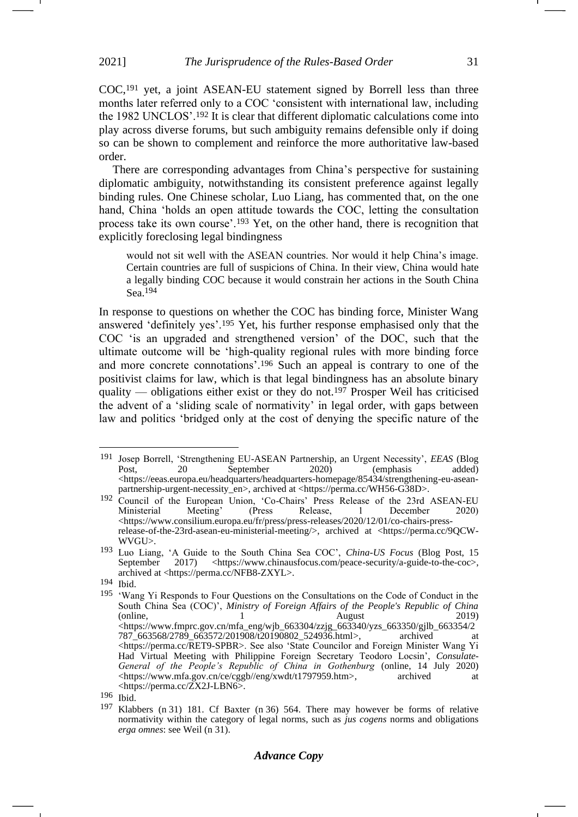COC,<sup>191</sup> yet, a joint ASEAN-EU statement signed by Borrell less than three months later referred only to a COC 'consistent with international law, including the 1982 UNCLOS'.<sup>192</sup> It is clear that different diplomatic calculations come into play across diverse forums, but such ambiguity remains defensible only if doing so can be shown to complement and reinforce the more authoritative law-based order.

There are corresponding advantages from China's perspective for sustaining diplomatic ambiguity, notwithstanding its consistent preference against legally binding rules. One Chinese scholar, Luo Liang, has commented that, on the one hand, China 'holds an open attitude towards the COC, letting the consultation process take its own course'.<sup>193</sup> Yet, on the other hand, there is recognition that explicitly foreclosing legal bindingness

<span id="page-30-0"></span>would not sit well with the ASEAN countries. Nor would it help China's image. Certain countries are full of suspicions of China. In their view, China would hate a legally binding COC because it would constrain her actions in the South China Sea.194

In response to questions on whether the COC has binding force, Minister Wang answered 'definitely yes'.<sup>195</sup> Yet, his further response emphasised only that the COC 'is an upgraded and strengthened version' of the DOC, such that the ultimate outcome will be 'high-quality regional rules with more binding force and more concrete connotations'.<sup>196</sup> Such an appeal is contrary to one of the positivist claims for law, which is that legal bindingness has an absolute binary quality — obligations either exist or they do not.<sup>197</sup> Prosper Weil has criticised the advent of a 'sliding scale of normativity' in legal order, with gaps between law and politics 'bridged only at the cost of denying the specific nature of the

-1

<sup>191</sup> Josep Borrell, 'Strengthening EU-ASEAN Partnership, an Urgent Necessity', *EEAS* (Blog Post, 20 September 2020) (emphasis added) <https://eeas.europa.eu/headquarters/headquarters-homepage/85434/strengthening-eu-aseanpartnership-urgent-necessity\_en>, archived at <https://perma.cc/WH56-G38D>.

<sup>&</sup>lt;sup>192</sup> Council of the European Union, 'Co-Chairs' Press Release of the 23rd ASEAN-EU Ministerial Meeting' (Press Release, 1 December 2020) <https://www.consilium.europa.eu/fr/press/press-releases/2020/12/01/co-chairs-pressrelease-of-the-23rd-asean-eu-ministerial-meeting/>, archived at <https://perma.cc/9QCW-WVGU>.

<sup>193</sup> Luo Liang, 'A Guide to the South China Sea COC', *China-US Focus* (Blog Post, 15 September 2017) <https://www.chinausfocus.com/peace-security/a-guide-to-the-coc>, archived at <https://perma.cc/NFB8-ZXYL>.

<sup>194</sup> Ibid.

<sup>195</sup> 'Wang Yi Responds to Four Questions on the Consultations on the Code of Conduct in the South China Sea (COC)', *Ministry of Foreign Affairs of the People's Republic of China* (online, 1 August 2019)  $\lt$ https://www.fmprc.gov.cn/mfa\_eng/wjb\_663304/zzjg\_663340/yzs\_663350/gjlb\_663354/2 787\_663568/2789\_663572/201908/t20190802\_524936.html>, archived <https://perma.cc/RET9-SPBR>. See also 'State Councilor and Foreign Minister Wang Yi Had Virtual Meeting with Philippine Foreign Secretary Teodoro Locsin', *Consulate-General of the People's Republic of China in Gothenburg* (online, 14 July 2020) <https://www.mfa.gov.cn/ce/cggb//eng/xwdt/t1797959.htm>, archived at <https://perma.cc/ZX2J-LBN6>.

<sup>196</sup> Ibid.

<sup>197</sup> Klabbers (n [31\)](#page-6-0) 181. Cf Baxter (n [36\)](#page-7-0) 564. There may however be forms of relative normativity within the category of legal norms, such as *jus cogens* norms and obligations *erga omnes*: see Weil (n [31\)](#page-6-0).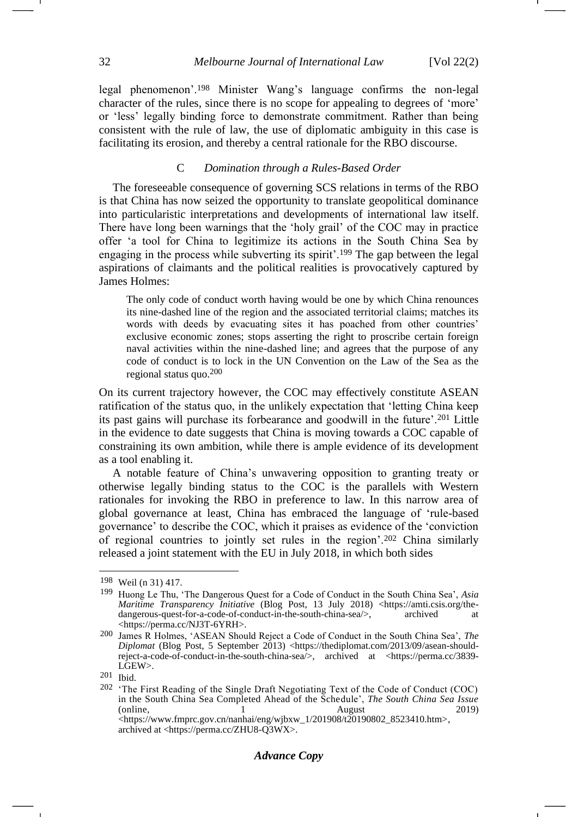legal phenomenon'.<sup>198</sup> Minister Wang's language confirms the non-legal character of the rules, since there is no scope for appealing to degrees of 'more' or 'less' legally binding force to demonstrate commitment. Rather than being consistent with the rule of law, the use of diplomatic ambiguity in this case is facilitating its erosion, and thereby a central rationale for the RBO discourse.

## <span id="page-31-0"></span>C *Domination through a Rules-Based Order*

The foreseeable consequence of governing SCS relations in terms of the RBO is that China has now seized the opportunity to translate geopolitical dominance into particularistic interpretations and developments of international law itself. There have long been warnings that the 'holy grail' of the COC may in practice offer 'a tool for China to legitimize its actions in the South China Sea by engaging in the process while subverting its spirit'.<sup>199</sup> The gap between the legal aspirations of claimants and the political realities is provocatively captured by James Holmes:

The only code of conduct worth having would be one by which China renounces its nine-dashed line of the region and the associated territorial claims; matches its words with deeds by evacuating sites it has poached from other countries' exclusive economic zones; stops asserting the right to proscribe certain foreign naval activities within the nine-dashed line; and agrees that the purpose of any code of conduct is to lock in the UN Convention on the Law of the Sea as the regional status quo.200

On its current trajectory however, the COC may effectively constitute ASEAN ratification of the status quo, in the unlikely expectation that 'letting China keep its past gains will purchase its forbearance and goodwill in the future'.<sup>201</sup> Little in the evidence to date suggests that China is moving towards a COC capable of constraining its own ambition, while there is ample evidence of its development as a tool enabling it.

A notable feature of China's unwavering opposition to granting treaty or otherwise legally binding status to the COC is the parallels with Western rationales for invoking the RBO in preference to law. In this narrow area of global governance at least, China has embraced the language of 'rule-based governance' to describe the COC, which it praises as evidence of the 'conviction of regional countries to jointly set rules in the region'.<sup>202</sup> China similarly released a joint statement with the EU in July 2018, in which both sides

<sup>198</sup> Weil (n [31\)](#page-6-0) 417.

<sup>199</sup> Huong Le Thu, 'The Dangerous Quest for a Code of Conduct in the South China Sea', *Asia Maritime Transparency Initiative* (Blog Post, 13 July 2018) <https://amti.csis.org/thedangerous-quest-for-a-code-of-conduct-in-the-south-china-sea/>, archived at <https://perma.cc/NJ3T-6YRH>.

<sup>200</sup> James R Holmes, 'ASEAN Should Reject a Code of Conduct in the South China Sea', *The Diplomat* (Blog Post, 5 September 2013) <https://thediplomat.com/2013/09/asean-shouldreject-a-code-of-conduct-in-the-south-china-sea/>, archived at <https://perma.cc/3839- LGEW>.

<sup>201</sup> Ibid.

<sup>202</sup> 'The First Reading of the Single Draft Negotiating Text of the Code of Conduct (COC) in the South China Sea Completed Ahead of the Schedule', *The South China Sea Issue* (online, 1 August 2019) <https://www.fmprc.gov.cn/nanhai/eng/wjbxw\_1/201908/t20190802\_8523410.htm>, archived at <https://perma.cc/ZHU8-Q3WX>.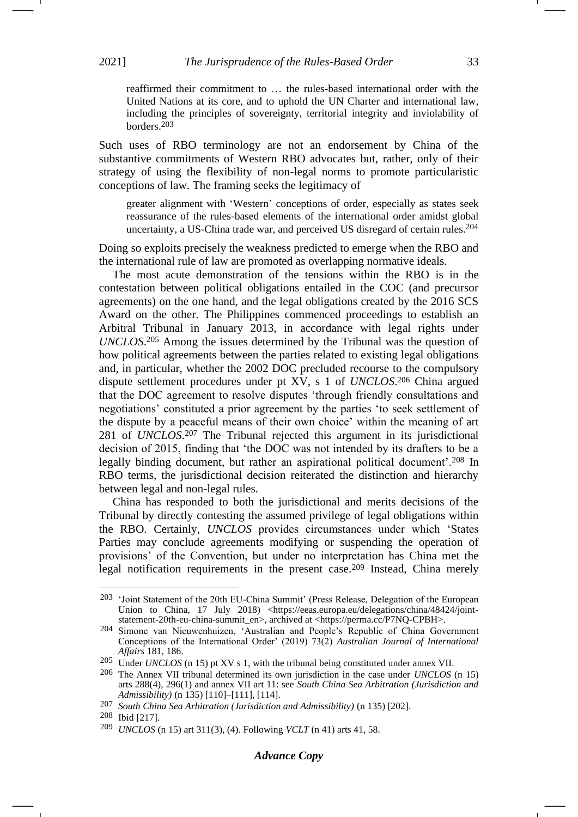reaffirmed their commitment to … the rules-based international order with the United Nations at its core, and to uphold the UN Charter and international law, including the principles of sovereignty, territorial integrity and inviolability of borders.203

Such uses of RBO terminology are not an endorsement by China of the substantive commitments of Western RBO advocates but, rather, only of their strategy of using the flexibility of non-legal norms to promote particularistic conceptions of law. The framing seeks the legitimacy of

greater alignment with 'Western' conceptions of order, especially as states seek reassurance of the rules-based elements of the international order amidst global uncertainty, a US-China trade war, and perceived US disregard of certain rules.204

Doing so exploits precisely the weakness predicted to emerge when the RBO and the international rule of law are promoted as overlapping normative ideals.

The most acute demonstration of the tensions within the RBO is in the contestation between political obligations entailed in the COC (and precursor agreements) on the one hand, and the legal obligations created by the 2016 SCS Award on the other. The Philippines commenced proceedings to establish an Arbitral Tribunal in January 2013, in accordance with legal rights under *UNCLOS*. <sup>205</sup> Among the issues determined by the Tribunal was the question of how political agreements between the parties related to existing legal obligations and, in particular, whether the 2002 DOC precluded recourse to the compulsory dispute settlement procedures under pt XV, s 1 of *UNCLOS*. <sup>206</sup> China argued that the DOC agreement to resolve disputes 'through friendly consultations and negotiations' constituted a prior agreement by the parties 'to seek settlement of the dispute by a peaceful means of their own choice' within the meaning of art 281 of *UNCLOS*. <sup>207</sup> The Tribunal rejected this argument in its jurisdictional decision of 2015, finding that 'the DOC was not intended by its drafters to be a legally binding document, but rather an aspirational political document'.<sup>208</sup> In RBO terms, the jurisdictional decision reiterated the distinction and hierarchy between legal and non-legal rules.

China has responded to both the jurisdictional and merits decisions of the Tribunal by directly contesting the assumed privilege of legal obligations within the RBO. Certainly, *UNCLOS* provides circumstances under which 'States Parties may conclude agreements modifying or suspending the operation of provisions' of the Convention, but under no interpretation has China met the legal notification requirements in the present case.<sup>209</sup> Instead, China merely -1

# *Advance Copy*

<sup>203</sup> 'Joint Statement of the 20th EU-China Summit' (Press Release, Delegation of the European Union to China, 17 July 2018) <https://eeas.europa.eu/delegations/china/48424/jointstatement-20th-eu-china-summit\_en>, archived at <https://perma.cc/P7NQ-CPBH>.

<sup>204</sup> Simone van Nieuwenhuizen, 'Australian and People's Republic of China Government Conceptions of the International Order' (2019) 73(2) *Australian Journal of International Affairs* 181, 186.

<sup>205</sup> Under *UNCLOS* (n [15\)](#page-3-1) pt XV s 1, with the tribunal being constituted under annex VII.

<sup>206</sup> The Annex VII tribunal determined its own jurisdiction in the case under *UNCLOS* (n [15\)](#page-3-1) arts 288(4), 296(1) and annex VII art 11: see *South China Sea Arbitration (Jurisdiction and Admissibility)* (n [135\)](#page-21-1) [110]–[111], [114].

<sup>207</sup> *South China Sea Arbitration (Jurisdiction and Admissibility)* (n [135\)](#page-21-1) [202].

<sup>208</sup> Ibid [217].

<sup>209</sup> *UNCLOS* (n [15\)](#page-3-1) art 311(3), (4). Following *VCLT* ([n 41\)](#page-8-1) arts 41, 58.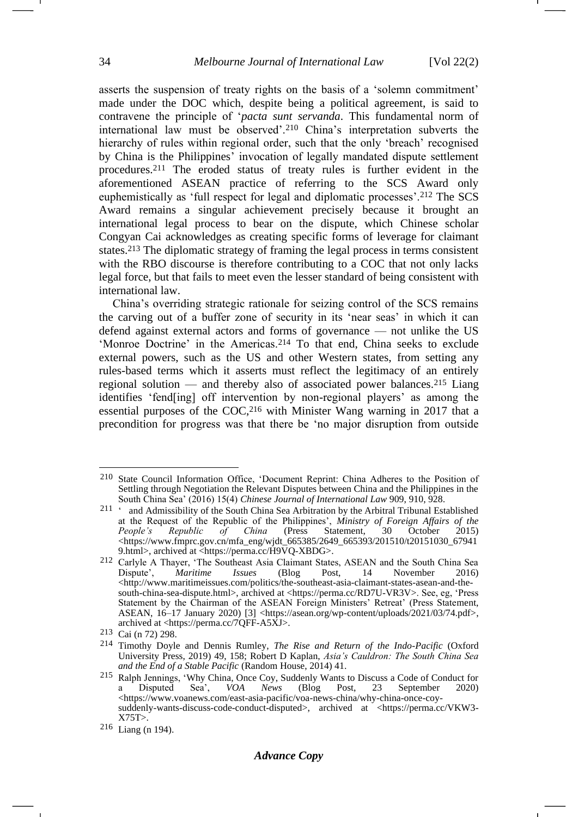<span id="page-33-0"></span>asserts the suspension of treaty rights on the basis of a 'solemn commitment' made under the DOC which, despite being a political agreement, is said to contravene the principle of '*pacta sunt servanda*. This fundamental norm of international law must be observed'.<sup>210</sup> China's interpretation subverts the hierarchy of rules within regional order, such that the only 'breach' recognised by China is the Philippines' invocation of legally mandated dispute settlement procedures.<sup>211</sup> The eroded status of treaty rules is further evident in the aforementioned ASEAN practice of referring to the SCS Award only euphemistically as 'full respect for legal and diplomatic processes'.<sup>212</sup> The SCS Award remains a singular achievement precisely because it brought an international legal process to bear on the dispute, which Chinese scholar Congyan Cai acknowledges as creating specific forms of leverage for claimant states.<sup>213</sup> The diplomatic strategy of framing the legal process in terms consistent with the RBO discourse is therefore contributing to a COC that not only lacks legal force, but that fails to meet even the lesser standard of being consistent with international law.

China's overriding strategic rationale for seizing control of the SCS remains the carving out of a buffer zone of security in its 'near seas' in which it can defend against external actors and forms of governance — not unlike the US 'Monroe Doctrine' in the Americas.<sup>214</sup> To that end, China seeks to exclude external powers, such as the US and other Western states, from setting any rules-based terms which it asserts must reflect the legitimacy of an entirely regional solution — and thereby also of associated power balances.<sup>215</sup> Liang identifies 'fend[ing] off intervention by non-regional players' as among the essential purposes of the COC,<sup>216</sup> with Minister Wang warning in 2017 that a precondition for progress was that there be 'no major disruption from outside

<sup>210</sup> State Council Information Office, 'Document Reprint: China Adheres to the Position of Settling through Negotiation the Relevant Disputes between China and the Philippines in the South China Sea' (2016) 15(4) *Chinese Journal of International Law* 909, 910, 928.

<sup>211</sup> ' and Admissibility of the South China Sea Arbitration by the Arbitral Tribunal Established at the Request of the Republic of the Philippines', *Ministry of Foreign Affairs of the of China* (Press Statement, 30 October <https://www.fmprc.gov.cn/mfa\_eng/wjdt\_665385/2649\_665393/201510/t20151030\_67941 9.html>, archived at <https://perma.cc/H9VQ-XBDG>.

<sup>212</sup> Carlyle A Thayer, 'The Southeast Asia Claimant States, ASEAN and the South China Sea Dispute', *Maritime Issues* (Blog Post, 14 November 2016) Dispute', Maritime Issues (Blog Post, 14 November 2016<br>
<http://www.maritimeissues.com/politics/the-southeast-asia-claimant-states-asean-and-thesouth-china-sea-dispute.html>, archived at <https://perma.cc/RD7U-VR3V>. See, eg, 'Press Statement by the Chairman of the ASEAN Foreign Ministers' Retreat' (Press Statement, ASEAN, 16–17 January 2020) [3] <https://asean.org/wp-content/uploads/2021/03/74.pdf>, archived at <https://perma.cc/7QFF-A5XJ>.

<sup>213</sup> Cai (n [72\)](#page-13-0) 298.

<sup>214</sup> Timothy Doyle and Dennis Rumley, *The Rise and Return of the Indo-Pacific* (Oxford University Press, 2019) 49, 158; Robert D Kaplan, *Asia's Cauldron: The South China Sea and the End of a Stable Pacific* (Random House, 2014) 41.

<sup>&</sup>lt;sup>215</sup> Ralph Jennings, 'Why China, Once Coy, Suddenly Wants to Discuss a Code of Conduct for<br>a Disputed Sea', *VOA News* (Blog Post, 23 September 2020) a Disputed Sea', *VOA News* (Blog Post, 23 September 2020) <https://www.voanews.com/east-asia-pacific/voa-news-china/why-china-once-coysuddenly-wants-discuss-code-conduct-disputed>, archived at <https://perma.cc/VKW3-X75T>.

<sup>216</sup> Liang (n [194\)](#page-30-0).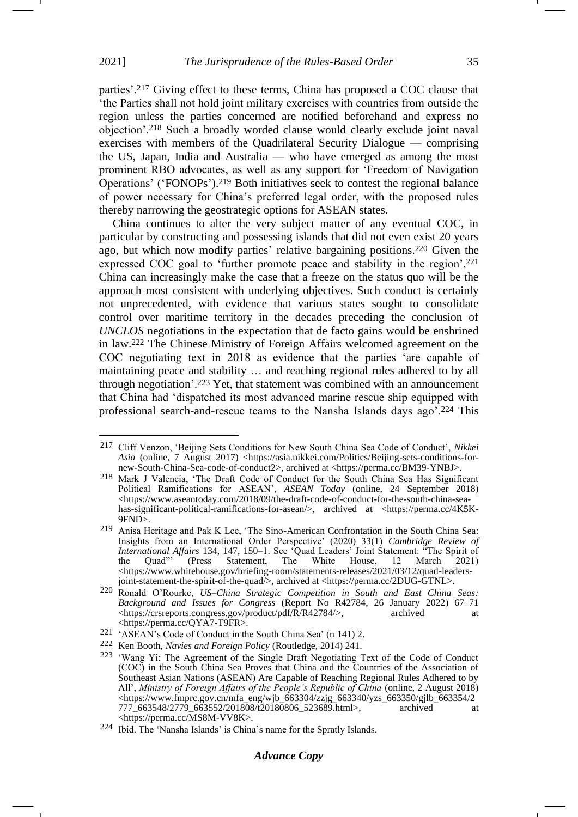parties'.<sup>217</sup> Giving effect to these terms, China has proposed a COC clause that 'the Parties shall not hold joint military exercises with countries from outside the region unless the parties concerned are notified beforehand and express no objection'.<sup>218</sup> Such a broadly worded clause would clearly exclude joint naval exercises with members of the Quadrilateral Security Dialogue — comprising the US, Japan, India and Australia — who have emerged as among the most prominent RBO advocates, as well as any support for 'Freedom of Navigation Operations' ('FONOPs').<sup>219</sup> Both initiatives seek to contest the regional balance of power necessary for China's preferred legal order, with the proposed rules thereby narrowing the geostrategic options for ASEAN states.

China continues to alter the very subject matter of any eventual COC, in particular by constructing and possessing islands that did not even exist 20 years ago, but which now modify parties' relative bargaining positions.<sup>220</sup> Given the expressed COC goal to 'further promote peace and stability in the region',<sup>221</sup> China can increasingly make the case that a freeze on the status quo will be the approach most consistent with underlying objectives. Such conduct is certainly not unprecedented, with evidence that various states sought to consolidate control over maritime territory in the decades preceding the conclusion of *UNCLOS* negotiations in the expectation that de facto gains would be enshrined in law.<sup>222</sup> The Chinese Ministry of Foreign Affairs welcomed agreement on the COC negotiating text in 2018 as evidence that the parties 'are capable of maintaining peace and stability … and reaching regional rules adhered to by all through negotiation'.<sup>223</sup> Yet, that statement was combined with an announcement that China had 'dispatched its most advanced marine rescue ship equipped with professional search-and-rescue teams to the Nansha Islands days ago'.<sup>224</sup> This -1

## *Advance Copy*

<sup>217</sup> Cliff Venzon, 'Beijing Sets Conditions for New South China Sea Code of Conduct', *Nikkei*  Asia (online, 7 August 2017) <https://asia.nikkei.com/Politics/Beijing-sets-conditions-fornew-South-China-Sea-code-of-conduct2>, archived at <https://perma.cc/BM39-YNBJ>.

<sup>218</sup> Mark J Valencia, 'The Draft Code of Conduct for the South China Sea Has Significant Political Ramifications for ASEAN', *ASEAN Today* (online, 24 September 2018) <https://www.aseantoday.com/2018/09/the-draft-code-of-conduct-for-the-south-china-seahas-significant-political-ramifications-for-asean/>, archived at <https://perma.cc/4K5K-9FND>.

<sup>219</sup> Anisa Heritage and Pak K Lee, 'The Sino-American Confrontation in the South China Sea: Insights from an International Order Perspective' (2020) 33(1) *Cambridge Review of International Affairs* 134, 147, 150–1. See 'Quad Leaders' Joint Statement: "The Spirit of the Quad" (Press Statement, The White House, 12 March 2021) the Quad"' (Press Statement, The White House, 12 March 2021) <https://www.whitehouse.gov/briefing-room/statements-releases/2021/03/12/quad-leadersjoint-statement-the-spirit-of-the-quad/>, archived at <https://perma.cc/2DUG-GTNL>.

<sup>220</sup> Ronald O'Rourke, *US*–*China Strategic Competition in South and East China Seas: Background and Issues for Congress* (Report No R42784, 26 January 2022) 67–71 <https://crsreports.congress.gov/product/pdf/R/R42784/>, archived at <https://perma.cc/QYA7-T9FR>.

<sup>221</sup> 'ASEAN's Code of Conduct in the South China Sea' (n [141\)](#page-23-1) 2.

<sup>222</sup> Ken Booth, *Navies and Foreign Policy* (Routledge, 2014) 241.

<sup>223</sup> 'Wang Yi: The Agreement of the Single Draft Negotiating Text of the Code of Conduct (COC) in the South China Sea Proves that China and the Countries of the Association of Southeast Asian Nations (ASEAN) Are Capable of Reaching Regional Rules Adhered to by All', *Ministry of Foreign Affairs of the People's Republic of China* (online, 2 August 2018) <https://www.fmprc.gov.cn/mfa\_eng/wjb\_663304/zzjg\_663340/yzs\_663350/gjlb\_663354/2 777\_663548/2779\_663552/201808/t20180806\_523689.html>, archived at <https://perma.cc/MS8M-VV8K>.

<sup>224</sup> Ibid. The 'Nansha Islands' is China's name for the Spratly Islands.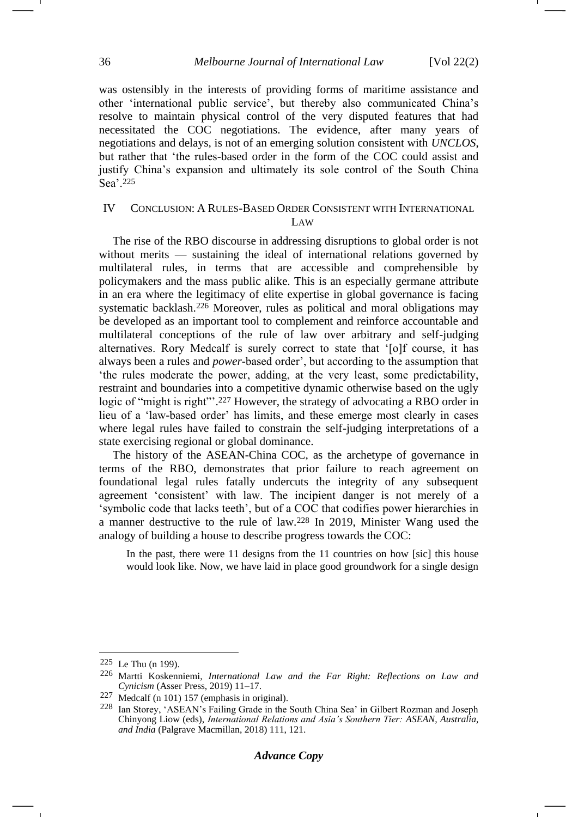was ostensibly in the interests of providing forms of maritime assistance and other 'international public service', but thereby also communicated China's resolve to maintain physical control of the very disputed features that had necessitated the COC negotiations. The evidence, after many years of negotiations and delays, is not of an emerging solution consistent with *UNCLOS*, but rather that 'the rules-based order in the form of the COC could assist and justify China's expansion and ultimately its sole control of the South China Sea'.<sup>225</sup>

## IV CONCLUSION: A RULES-BASED ORDER CONSISTENT WITH INTERNATIONAL LAW

The rise of the RBO discourse in addressing disruptions to global order is not without merits — sustaining the ideal of international relations governed by multilateral rules, in terms that are accessible and comprehensible by policymakers and the mass public alike. This is an especially germane attribute in an era where the legitimacy of elite expertise in global governance is facing systematic backlash.<sup>226</sup> Moreover, rules as political and moral obligations may be developed as an important tool to complement and reinforce accountable and multilateral conceptions of the rule of law over arbitrary and self-judging alternatives. Rory Medcalf is surely correct to state that '[o]f course, it has always been a rules and *power*-based order', but according to the assumption that 'the rules moderate the power, adding, at the very least, some predictability, restraint and boundaries into a competitive dynamic otherwise based on the ugly logic of "might is right"'.<sup>227</sup> However, the strategy of advocating a RBO order in lieu of a 'law-based order' has limits, and these emerge most clearly in cases where legal rules have failed to constrain the self-judging interpretations of a state exercising regional or global dominance.

The history of the ASEAN-China COC, as the archetype of governance in terms of the RBO, demonstrates that prior failure to reach agreement on foundational legal rules fatally undercuts the integrity of any subsequent agreement 'consistent' with law. The incipient danger is not merely of a 'symbolic code that lacks teeth', but of a COC that codifies power hierarchies in a manner destructive to the rule of law.<sup>228</sup> In 2019, Minister Wang used the analogy of building a house to describe progress towards the COC:

In the past, there were 11 designs from the 11 countries on how [sic] this house would look like. Now, we have laid in place good groundwork for a single design

<sup>225</sup> Le Thu (n [199\)](#page-31-0).

<sup>226</sup> Martti Koskenniemi, *International Law and the Far Right: Reflections on Law and Cynicism* (Asser Press, 2019) 11–17.

<sup>227</sup> Medcalf (n [101\)](#page-17-0) 157 (emphasis in original).

<sup>228</sup> Ian Storey, 'ASEAN's Failing Grade in the South China Sea' in Gilbert Rozman and Joseph Chinyong Liow (eds), *International Relations and Asia's Southern Tier: ASEAN, Australia, and India* (Palgrave Macmillan, 2018) 111, 121.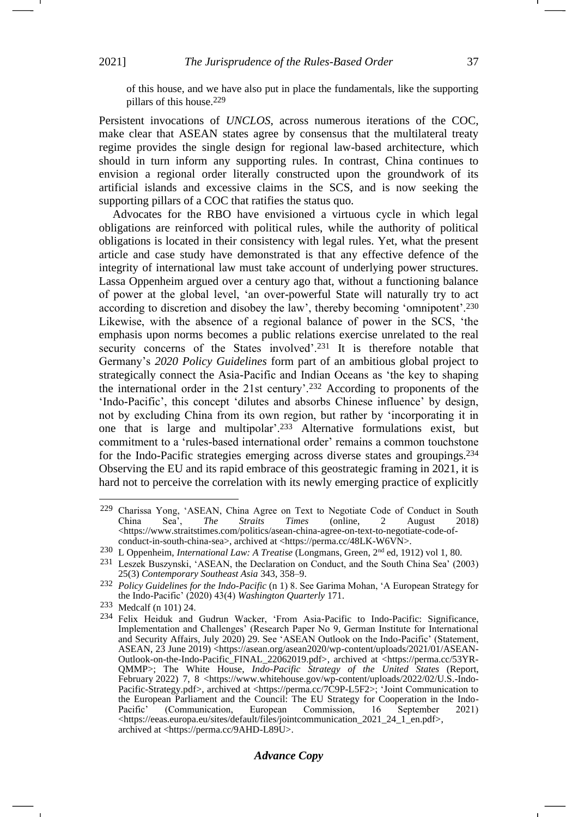of this house, and we have also put in place the fundamentals, like the supporting pillars of this house.229

Persistent invocations of *UNCLOS*, across numerous iterations of the COC, make clear that ASEAN states agree by consensus that the multilateral treaty regime provides the single design for regional law-based architecture, which should in turn inform any supporting rules. In contrast, China continues to envision a regional order literally constructed upon the groundwork of its artificial islands and excessive claims in the SCS, and is now seeking the supporting pillars of a COC that ratifies the status quo.

Advocates for the RBO have envisioned a virtuous cycle in which legal obligations are reinforced with political rules, while the authority of political obligations is located in their consistency with legal rules. Yet, what the present article and case study have demonstrated is that any effective defence of the integrity of international law must take account of underlying power structures. Lassa Oppenheim argued over a century ago that, without a functioning balance of power at the global level, 'an over-powerful State will naturally try to act according to discretion and disobey the law', thereby becoming 'omnipotent'.<sup>230</sup> Likewise, with the absence of a regional balance of power in the SCS, 'the emphasis upon norms becomes a public relations exercise unrelated to the real security concerns of the States involved'.<sup>231</sup> It is therefore notable that Germany's *2020 Policy Guidelines* form part of an ambitious global project to strategically connect the Asia-Pacific and Indian Oceans as 'the key to shaping the international order in the 21st century'.<sup>232</sup> According to proponents of the 'Indo-Pacific', this concept 'dilutes and absorbs Chinese influence' by design, not by excluding China from its own region, but rather by 'incorporating it in one that is large and multipolar'.<sup>233</sup> Alternative formulations exist, but commitment to a 'rules-based international order' remains a common touchstone for the Indo-Pacific strategies emerging across diverse states and groupings.<sup>234</sup> Observing the EU and its rapid embrace of this geostrategic framing in 2021, it is hard not to perceive the correlation with its newly emerging practice of explicitly

-1

# *Advance Copy*

<span id="page-36-0"></span><sup>&</sup>lt;sup>229</sup> Charissa Yong, 'ASEAN, China Agree on Text to Negotiate Code of Conduct in South China Sea', The Straits Times (online, 2 August 2018) China Sea', *The Straits Times* (online, 2 August 2018) <https://www.straitstimes.com/politics/asean-china-agree-on-text-to-negotiate-code-ofconduct-in-south-china-sea>, archived at <https://perma.cc/48LK-W6VN>.

<sup>230</sup> L Oppenheim, *International Law: A Treatise* (Longmans, Green, 2nd ed, 1912) vol 1, 80.

<sup>231</sup> Leszek Buszynski, 'ASEAN, the Declaration on Conduct, and the South China Sea' (2003) 25(3) *Contemporary Southeast Asia* 343, 358–9.

<sup>232</sup> *Policy Guidelines for the Indo-Pacific* (n [1\)](#page-1-2) 8. See Garima Mohan, 'A European Strategy for the Indo-Pacific' (2020) 43(4) *Washington Quarterly* 171.

<sup>233</sup> Medcalf (n [101\)](#page-17-0) 24.

<sup>234</sup> Felix Heiduk and Gudrun Wacker, 'From Asia-Pacific to Indo-Pacific: Significance, Implementation and Challenges' (Research Paper No 9, German Institute for International and Security Affairs, July 2020) 29. See 'ASEAN Outlook on the Indo-Pacific' (Statement, ASEAN, 23 June 2019) <https://asean.org/asean2020/wp-content/uploads/2021/01/ASEAN-Outlook-on-the-Indo-Pacific\_FINAL\_22062019.pdf>, archived at <https://perma.cc/53YR-QMMP>; The White House, *Indo-Pacific Strategy of the United States* (Report, February 2022) 7, 8 <https://www.whitehouse.gov/wp-content/uploads/2022/02/U.S.-Indo-Pacific-Strategy.pdf>, archived at <https://perma.cc/7C9P-L5F2>; 'Joint Communication to the European Parliament and the Council: The EU Strategy for Cooperation in the Indo-<br>Pacific' (Communication, European Commission, 16 September 2021) (Communication, European Commission, 16 September 2021) <https://eeas.europa.eu/sites/default/files/jointcommunication\_2021\_24\_1\_en.pdf>, archived at <https://perma.cc/9AHD-L89U>.